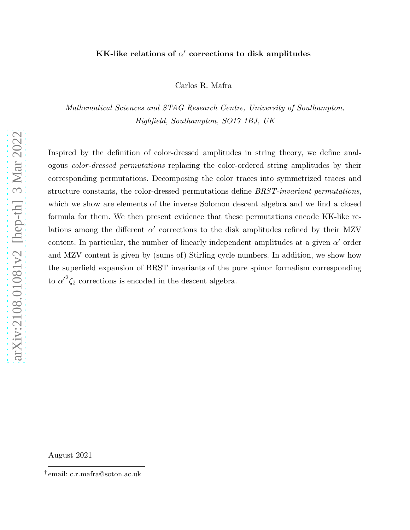# KK-like relations of  $\alpha'$  corrections to disk amplitudes

Carlos R. Mafra

Mathematical Sciences and STAG Research Centre, University of Southampton, Highfield, Southampton, SO17 1BJ, UK

Inspired by the definition of color-dressed amplitudes in string theory, we define analogous color-dressed permutations replacing the color-ordered string amplitudes by their corresponding permutations. Decomposing the color traces into symmetrized traces and structure constants, the color-dressed permutations define BRST-invariant permutations, which we show are elements of the inverse Solomon descent algebra and we find a closed formula for them. We then present evidence that these permutations encode KK-like relations among the different  $\alpha'$  corrections to the disk amplitudes refined by their MZV content. In particular, the number of linearly independent amplitudes at a given  $\alpha'$  order and MZV content is given by (sums of) Stirling cycle numbers. In addition, we show how the superfield expansion of BRST invariants of the pure spinor formalism corresponding to  ${\alpha'}^2 \zeta_2$  corrections is encoded in the descent algebra.

August 2021

<sup>†</sup> email: c.r.mafra@soton.ac.uk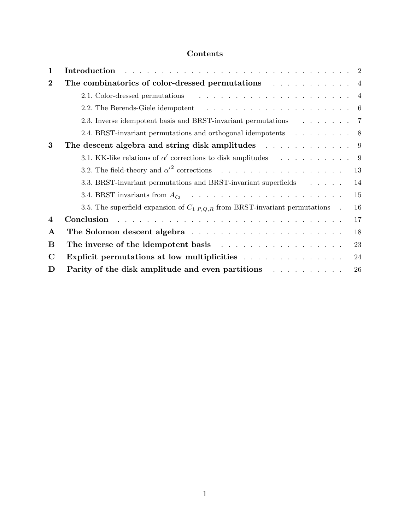# Contents

| 1                | Introduction research and the service of the service of the service of the service of the service of the service of the service of the service of the service of the service of the service of the service of the service of t      |
|------------------|-------------------------------------------------------------------------------------------------------------------------------------------------------------------------------------------------------------------------------------|
| $\bf{2}$         | The combinatorics of color-dressed permutations and all complete sections of $4$                                                                                                                                                    |
|                  |                                                                                                                                                                                                                                     |
|                  |                                                                                                                                                                                                                                     |
|                  | 2.3. Inverse idempotent basis and BRST-invariant permutations 7                                                                                                                                                                     |
|                  | 2.4. BRST-invariant permutations and orthogonal idempotents 8                                                                                                                                                                       |
| 3                | The descent algebra and string disk amplitudes $\ldots$ 9                                                                                                                                                                           |
|                  | 3.1. KK-like relations of $\alpha'$ corrections to disk amplitudes 9                                                                                                                                                                |
|                  | 3.2. The field-theory and $\alpha'^2$ corrections 13                                                                                                                                                                                |
|                  | 3.3. BRST-invariant permutations and BRST-invariant superfields<br>14                                                                                                                                                               |
|                  | 15                                                                                                                                                                                                                                  |
|                  | 16<br>3.5. The superfield expansion of $C_{1 P,Q,R}$ from BRST-invariant permutations.                                                                                                                                              |
| $\boldsymbol{4}$ | Conclusion research resources in the contract of the contract of the contract of the contract of the contract of the contract of the contract of the contract of the contract of the contract of the contract of the contract<br>17 |
| $\mathbf A$      | The Solomon descent algebra resources in the solomon descent algebra resources in the set of the set of the set of the set of the set of the set of the set of the set of the set of the set of the set of the set of the set<br>18 |
| $\bf{B}$         | 23                                                                                                                                                                                                                                  |
| $\mathbf C$      | 24                                                                                                                                                                                                                                  |
| D                | Parity of the disk amplitude and even partitions<br>${\bf 26}$                                                                                                                                                                      |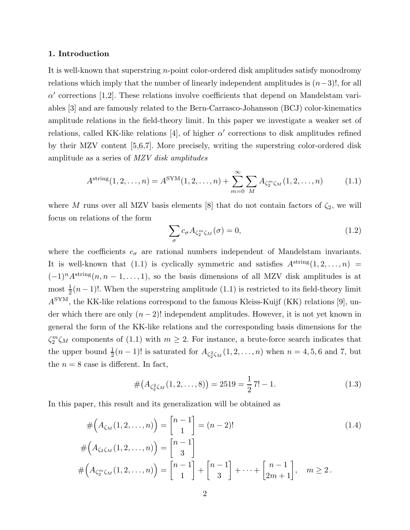#### 1. Introduction

It is well-known that superstring n-point color-ordered disk amplitudes satisfy monodromy relations which imply that the number of linearly independent amplitudes is  $(n-3)!$ , for all  $\alpha'$  corrections [1,2]. These relations involve coefficients that depend on Mandelstam variables [3] and are famously related to the Bern-Carrasco-Johansson (BCJ) color-kinematics amplitude relations in the field-theory limit. In this paper we investigate a weaker set of relations, called KK-like relations [4], of higher  $\alpha'$  corrections to disk amplitudes refined by their MZV content [5,6,7]. More precisely, writing the superstring color-ordered disk amplitude as a series of MZV disk amplitudes

$$
A^{\text{string}}(1, 2, ..., n) = A^{\text{SYM}}(1, 2, ..., n) + \sum_{m=0}^{\infty} \sum_{M} A_{\zeta_2^m \zeta_M}(1, 2, ..., n)
$$
(1.1)

where M runs over all MZV basis elements [8] that do not contain factors of  $\zeta_2$ , we will focus on relations of the form

$$
\sum_{\sigma} c_{\sigma} A_{\zeta_2^m \zeta_M}(\sigma) = 0, \tag{1.2}
$$

where the coefficients  $c_{\sigma}$  are rational numbers independent of Mandelstam invariants. It is well-known that (1.1) is cyclically symmetric and satisfies  $A^{string}(1, 2, \ldots, n)$  $(-1)^n A^{\text{string}}(n, n-1, \ldots, 1)$ , so the basis dimensions of all MZV disk amplitudes is at most  $\frac{1}{2}(n-1)!$ . When the superstring amplitude (1.1) is restricted to its field-theory limit  $A<sup>SYM</sup>$ , the KK-like relations correspond to the famous Kleiss-Kuijf (KK) relations [9], under which there are only  $(n-2)!$  independent amplitudes. However, it is not yet known in general the form of the KK-like relations and the corresponding basis dimensions for the  $\zeta_2^m \zeta_M$  components of (1.1) with  $m \geq 2$ . For instance, a brute-force search indicates that the upper bound  $\frac{1}{2}(n-1)!$  is saturated for  $A_{\zeta_2^2\zeta_M}(1,2,\ldots,n)$  when  $n=4,5,6$  and 7, but the  $n = 8$  case is different. In fact,

$$
\#(A_{\zeta_2^2\zeta_M}(1,2,\ldots,8)) = 2519 = \frac{1}{2}7! - 1.
$$
\n(1.3)

In this paper, this result and its generalization will be obtained as

$$
\#(A_{\zeta_M}(1,2,\ldots,n)) = {n-1 \brack 1} = (n-2)! \tag{1.4}
$$

$$
\#(A_{\zeta_2\zeta_M}(1,2,\ldots,n)) = \begin{bmatrix} n-1 \\ 3 \end{bmatrix} \n\#(A_{\zeta_2^m\zeta_M}(1,2,\ldots,n)) = \begin{bmatrix} n-1 \\ 1 \end{bmatrix} + \begin{bmatrix} n-1 \\ 3 \end{bmatrix} + \cdots + \begin{bmatrix} n-1 \\ 2m+1 \end{bmatrix}, \quad m \ge 2.
$$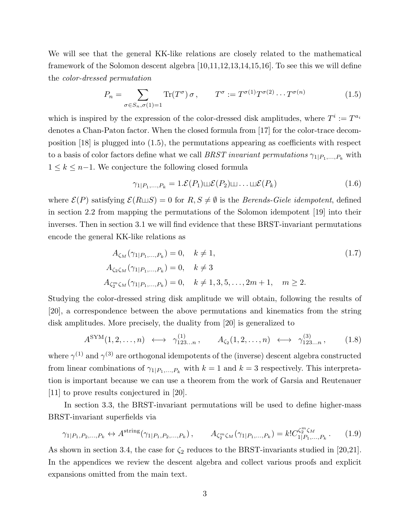We will see that the general KK-like relations are closely related to the mathematical framework of the Solomon descent algebra [10,11,12,13,14,15,16]. To see this we will define the color-dressed permutation

$$
P_n = \sum_{\sigma \in S_n, \sigma(1)=1} \text{Tr}(T^{\sigma}) \sigma, \qquad T^{\sigma} := T^{\sigma(1)} T^{\sigma(2)} \cdots T^{\sigma(n)} \qquad (1.5)
$$

which is inspired by the expression of the color-dressed disk amplitudes, where  $T^i := T^{a_i}$ denotes a Chan-Paton factor. When the closed formula from [17] for the color-trace decomposition [18] is plugged into (1.5), the permutations appearing as coefficients with respect to a basis of color factors define what we call BRST invariant permutations  $\gamma_{1|P_1,...,P_k}$  with  $1 ≤ k ≤ n-1$ . We conjecture the following closed formula

$$
\gamma_{1|P_1,\dots,P_k} = 1.\mathcal{E}(P_1)\sqcup \mathcal{E}(P_2)\sqcup \dots \sqcup \mathcal{E}(P_k) \tag{1.6}
$$

where  $\mathcal{E}(P)$  satisfying  $\mathcal{E}(R \sqcup S) = 0$  for  $R, S \neq \emptyset$  is the *Berends-Giele idempotent*, defined in section 2.2 from mapping the permutations of the Solomon idempotent [19] into their inverses. Then in section 3.1 we will find evidence that these BRST-invariant permutations encode the general KK-like relations as

$$
A_{\zeta_M}(\gamma_{1|P_1,...,P_k}) = 0, \quad k \neq 1,
$$
  
\n
$$
A_{\zeta_2\zeta_M}(\gamma_{1|P_1,...,P_k}) = 0, \quad k \neq 3
$$
  
\n
$$
A_{\zeta_2^m\zeta_M}(\gamma_{1|P_1,...,P_k}) = 0, \quad k \neq 1, 3, 5,..., 2m + 1, \quad m \ge 2.
$$
\n(1.7)

Studying the color-dressed string disk amplitude we will obtain, following the results of [20], a correspondence between the above permutations and kinematics from the string disk amplitudes. More precisely, the duality from [20] is generalized to

$$
A^{\text{SYM}}(1,2,\ldots,n) \longleftrightarrow \gamma_{123\ldots n}^{(1)}, \qquad A_{\zeta_2}(1,2,\ldots,n) \iff \gamma_{123\ldots n}^{(3)}, \qquad (1.8)
$$

where  $\gamma^{(1)}$  and  $\gamma^{(3)}$  are orthogonal idempotents of the (inverse) descent algebra constructed from linear combinations of  $\gamma_{1|P_1,...,P_k}$  with  $k=1$  and  $k=3$  respectively. This interpretation is important because we can use a theorem from the work of Garsia and Reutenauer [11] to prove results conjectured in [20].

In section 3.3, the BRST-invariant permutations will be used to define higher-mass BRST-invariant superfields via

$$
\gamma_{1|P_1, P_2, ..., P_k} \leftrightarrow A^{\text{string}}(\gamma_{1|P_1, P_2, ..., P_k}), \qquad A_{\zeta_2^m \zeta_M}(\gamma_{1|P_1, ..., P_k}) = k! C_{1|P_1, ..., P_k}^{\zeta_2^m \zeta_M}.
$$
 (1.9)

As shown in section 3.4, the case for  $\zeta_2$  reduces to the BRST-invariants studied in [20,21]. In the appendices we review the descent algebra and collect various proofs and explicit expansions omitted from the main text.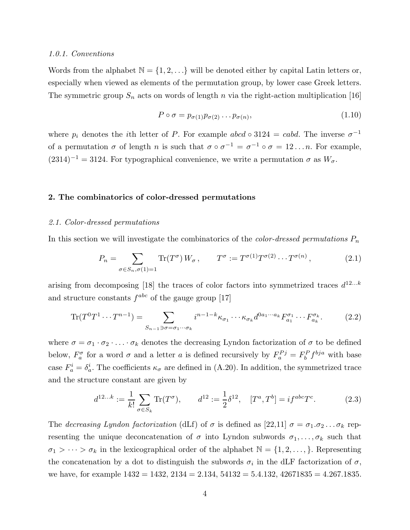#### 1.0.1. Conventions

Words from the alphabet  $\mathbb{N} = \{1, 2, \ldots\}$  will be denoted either by capital Latin letters or, especially when viewed as elements of the permutation group, by lower case Greek letters. The symmetric group  $S_n$  acts on words of length n via the right-action multiplication [16]

$$
P \circ \sigma = p_{\sigma(1)} p_{\sigma(2)} \dots p_{\sigma(n)}, \tag{1.10}
$$

where  $p_i$  denotes the *i*th letter of P. For example  $abcd \circ 3124 = cabd$ . The inverse  $\sigma^{-1}$ of a permutation  $\sigma$  of length n is such that  $\sigma \circ \sigma^{-1} = \sigma^{-1} \circ \sigma = 12 \dots n$ . For example,  $(2314)^{-1} = 3124$ . For typographical convenience, we write a permutation  $\sigma$  as  $W_{\sigma}$ .

#### 2. The combinatorics of color-dressed permutations

#### 2.1. Color-dressed permutations

In this section we will investigate the combinatorics of the *color-dressed permutations*  $P_n$ 

$$
P_n = \sum_{\sigma \in S_n, \sigma(1)=1} \text{Tr}(T^{\sigma}) W_{\sigma}, \qquad T^{\sigma} := T^{\sigma(1)} T^{\sigma(2)} \cdots T^{\sigma(n)}, \tag{2.1}
$$

arising from decomposing [18] the traces of color factors into symmetrized traces  $d^{12...k}$ and structure constants  $f^{abc}$  of the gauge group [17]

$$
\text{Tr}(T^0 T^1 \cdots T^{n-1}) = \sum_{S_{n-1} \ni \sigma = \sigma_1 \cdots \sigma_k} i^{n-1-k} \kappa_{\sigma_1} \cdots \kappa_{\sigma_k} d^{0a_1 \cdots a_k} F^{\sigma_1}_{a_1} \cdots F^{\sigma_k}_{a_k}.
$$
 (2.2)

where  $\sigma = \sigma_1 \cdot \sigma_2 \cdot \ldots \cdot \sigma_k$  denotes the decreasing Lyndon factorization of  $\sigma$  to be defined below,  $F_a^{\sigma}$  for a word  $\sigma$  and a letter a is defined recursively by  $F_a^{Pj} = F_b^P f^{bja}$  with base case  $F_a^i = \delta_a^i$ . The coefficients  $\kappa_{\sigma}$  are defined in (A.20). In addition, the symmetrized trace and the structure constant are given by

$$
d^{12...k} := \frac{1}{k!} \sum_{\sigma \in S_k} \text{Tr}(T^{\sigma}), \qquad d^{12} := \frac{1}{2} \delta^{12}, \quad [T^a, T^b] = i f^{abc} T^c. \tag{2.3}
$$

The decreasing Lyndon factorization (dLf) of  $\sigma$  is defined as [22,11]  $\sigma = \sigma_1 \cdot \sigma_2 \ldots \sigma_k$  representing the unique deconcatenation of  $\sigma$  into Lyndon subwords  $\sigma_1, \ldots, \sigma_k$  such that  $\sigma_1 > \cdots > \sigma_k$  in the lexicographical order of the alphabet  $\mathbb{N} = \{1, 2, \ldots, \}$ . Representing the concatenation by a dot to distinguish the subwords  $\sigma_i$  in the dLF factorization of  $\sigma$ , we have, for example  $1432 = 1432$ ,  $2134 = 2.134$ ,  $54132 = 5.4.132$ ,  $42671835 = 4.267.1835$ .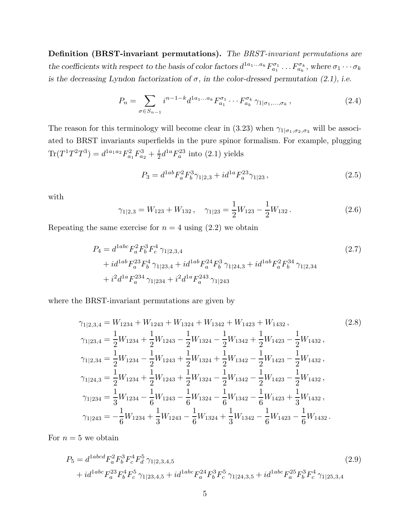Definition (BRST-invariant permutations). The BRST-invariant permutations are the coefficients with respect to the basis of color factors  $d^{1a_1...a_k}F^{\sigma_1}_{a_1} \dots F^{\sigma_k}_{a_k}$ , where  $\sigma_1 \cdots \sigma_k$ is the decreasing Lyndon factorization of  $\sigma$ , in the color-dressed permutation (2.1), i.e.

$$
P_n = \sum_{\sigma \in S_{n-1}} i^{n-1-k} d^{1a_1...a_k} F_{a_1}^{\sigma_1} \cdots F_{a_k}^{\sigma_k} \gamma_{1|\sigma_1,...,\sigma_k}, \qquad (2.4)
$$

The reason for this terminology will become clear in (3.23) when  $\gamma_{1|\sigma_1,\sigma_2,\sigma_3}$  will be associated to BRST invariants superfields in the pure spinor formalism. For example, plugging  $\text{Tr}(T^1T^2T^3) = d^{1a_1a_2}F^2_{a_1}F^3_{a_2} + \frac{i}{2}$  $\frac{i}{2}d^{1a}F_a^{23}$  into (2.1) yields

$$
P_3 = d^{1ab} F_a^2 F_b^3 \gamma_{1|2,3} + i d^{1a} F_a^{23} \gamma_{1|23} , \qquad (2.5)
$$

with

$$
\gamma_{1|2,3} = W_{123} + W_{132}, \quad \gamma_{1|23} = \frac{1}{2} W_{123} - \frac{1}{2} W_{132}.
$$
 (2.6)

Repeating the same exercise for  $n = 4$  using  $(2.2)$  we obtain

$$
P_4 = d^{1abc} F_a^2 F_b^3 F_c^4 \gamma_{1|2,3,4}
$$
  
+  $i d^{1ab} F_a^{23} F_b^4 \gamma_{1|23,4} + i d^{1ab} F_a^{24} F_b^3 \gamma_{1|24,3} + i d^{1ab} F_a^2 F_b^{34} \gamma_{1|2,34}$   
+  $i^2 d^{1a} F_a^{234} \gamma_{1|234} + i^2 d^{1a} F_a^{243} \gamma_{1|243}$  (2.7)

where the BRST-invariant permutations are given by

$$
\gamma_{1|2,3,4} = W_{1234} + W_{1243} + W_{1324} + W_{1342} + W_{1423} + W_{1432},
$$
\n
$$
\gamma_{1|23,4} = \frac{1}{2}W_{1234} + \frac{1}{2}W_{1243} - \frac{1}{2}W_{1324} - \frac{1}{2}W_{1342} + \frac{1}{2}W_{1423} - \frac{1}{2}W_{1432},
$$
\n
$$
\gamma_{1|2,34} = \frac{1}{2}W_{1234} - \frac{1}{2}W_{1243} + \frac{1}{2}W_{1324} + \frac{1}{2}W_{1342} - \frac{1}{2}W_{1423} - \frac{1}{2}W_{1432},
$$
\n
$$
\gamma_{1|24,3} = \frac{1}{2}W_{1234} + \frac{1}{2}W_{1243} + \frac{1}{2}W_{1324} - \frac{1}{2}W_{1342} - \frac{1}{2}W_{1423} - \frac{1}{2}W_{1432},
$$
\n
$$
\gamma_{1|234} = \frac{1}{3}W_{1234} - \frac{1}{6}W_{1243} - \frac{1}{6}W_{1324} - \frac{1}{6}W_{1342} - \frac{1}{6}W_{1423} + \frac{1}{3}W_{1432},
$$
\n
$$
\gamma_{1|243} = -\frac{1}{6}W_{1234} + \frac{1}{3}W_{1243} - \frac{1}{6}W_{1324} + \frac{1}{3}W_{1342} - \frac{1}{6}W_{1423} - \frac{1}{6}W_{1432}.
$$
\n(2.8)

For  $n = 5$  we obtain

$$
P_5 = d^{1abcd} F_a^2 F_b^3 F_c^4 F_d^5 \gamma_{1|2,3,4,5} \tag{2.9}
$$
  
+  $id^{1abc} F_a^{23} F_b^4 F_c^5 \gamma_{1|23,4,5} + id^{1abc} F_a^{24} F_b^3 F_c^5 \gamma_{1|24,3,5} + id^{1abc} F_a^{25} F_b^3 F_c^4 \gamma_{1|25,3,4} \tag{2.9}$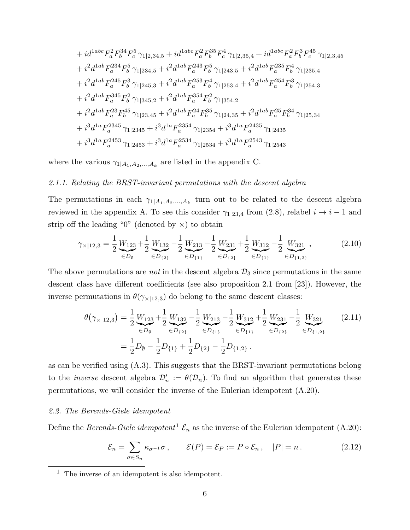$$
+i d^{1abc} F_a^2 F_b^{34} F_c^5 \gamma_{1|2,34,5} + i d^{1abc} F_a^2 F_b^{35} F_c^4 \gamma_{1|2,35,4} + i d^{1abc} F_a^2 F_b^3 F_c^{45} \gamma_{1|2,3,45}
$$
  
\n
$$
+ i^2 d^{1ab} F_a^{234} F_b^5 \gamma_{1|234,5} + i^2 d^{1ab} F_a^{243} F_b^5 \gamma_{1|243,5} + i^2 d^{1ab} F_a^{235} F_b^4 \gamma_{1|235,4}
$$
  
\n
$$
+ i^2 d^{1ab} F_a^{245} F_b^3 \gamma_{1|245,3} + i^2 d^{1ab} F_a^{253} F_b^4 \gamma_{1|253,4} + i^2 d^{1ab} F_a^{254} F_b^3 \gamma_{1|254,3}
$$
  
\n
$$
+ i^2 d^{1ab} F_a^{345} F_b^2 \gamma_{1|345,2} + i^2 d^{1ab} F_a^{354} F_b^2 \gamma_{1|354,2}
$$
  
\n
$$
+ i^2 d^{1ab} F_a^{23} F_b^{45} \gamma_{1|23,45} + i^2 d^{1ab} F_a^{24} F_b^{35} \gamma_{1|24,35} + i^2 d^{1ab} F_a^{25} F_b^{34} \gamma_{1|25,34}
$$
  
\n
$$
+ i^3 d^{1a} F_a^{2345} \gamma_{1|2345} + i^3 d^{1a} F_a^{2354} \gamma_{1|2354} + i^3 d^{1a} F_a^{2435} \gamma_{1|2435}
$$
  
\n
$$
+ i^3 d^{1a} F_a^{2453} \gamma_{1|2453} + i^3 d^{1a} F_a^{2534} \gamma_{1|2534} + i^3 d^{1a} F_a^{2543} \gamma_{1|2543}
$$

where the various  $\gamma_{1|A_1,A_2,...,A_k}$  are listed in the appendix C.

#### 2.1.1. Relating the BRST-invariant permutations with the descent algebra

The permutations in each  $\gamma_{1|A_1,A_2,...,A_k}$  turn out to be related to the descent algebra reviewed in the appendix A. To see this consider  $\gamma_{1|23,4}$  from (2.8), relabel  $i \rightarrow i - 1$  and strip off the leading "0" (denoted by  $\times$ ) to obtain

$$
\gamma_{\times|12,3} = \frac{1}{2} \underbrace{W_{123}}_{\in D_{\emptyset}} + \frac{1}{2} \underbrace{W_{132}}_{\in D_{\{2\}}} - \frac{1}{2} \underbrace{W_{213}}_{\in D_{\{1\}}} - \frac{1}{2} \underbrace{W_{231}}_{\in D_{\{2\}}} + \frac{1}{2} \underbrace{W_{312}}_{\in D_{\{1\}}} - \frac{1}{2} \underbrace{W_{321}}_{\in D_{\{1,2\}}},
$$
(2.10)

The above permutations are *not* in the descent algebra  $\mathcal{D}_3$  since permutations in the same descent class have different coefficients (see also proposition 2.1 from [23]). However, the inverse permutations in  $\theta(\gamma_{\times|12,3})$  do belong to the same descent classes:

$$
\theta(\gamma_{\times|12,3}) = \frac{1}{2} \underbrace{W_{123}}_{\in D_{\emptyset}} + \frac{1}{2} \underbrace{W_{132}}_{\in D_{\{2\}}} - \frac{1}{2} \underbrace{W_{213}}_{\in D_{\{1\}}} - \frac{1}{2} \underbrace{W_{312}}_{\in D_{\{1\}}} + \frac{1}{2} \underbrace{W_{231}}_{\in D_{\{2\}}} - \frac{1}{2} \underbrace{W_{321}}_{\in D_{\{1,2\}}}.
$$
\n(2.11)\n
$$
= \frac{1}{2} D_{\emptyset} - \frac{1}{2} D_{\{1\}} + \frac{1}{2} D_{\{2\}} - \frac{1}{2} D_{\{1,2\}}.
$$

as can be verified using (A.3). This suggests that the BRST-invariant permutations belong to the *inverse* descent algebra  $\mathcal{D}'_n := \theta(\mathcal{D}_n)$ . To find an algorithm that generates these permutations, we will consider the inverse of the Eulerian idempotent (A.20).

#### 2.2. The Berends-Giele idempotent

Define the Berends-Giele idempotent<sup>1</sup>  $\mathcal{E}_n$  as the inverse of the Eulerian idempotent (A.20):

$$
\mathcal{E}_n = \sum_{\sigma \in S_n} \kappa_{\sigma^{-1}} \sigma, \qquad \mathcal{E}(P) = \mathcal{E}_P := P \circ \mathcal{E}_n, \quad |P| = n. \tag{2.12}
$$

 $<sup>1</sup>$  The inverse of an idempotent is also idempotent.</sup>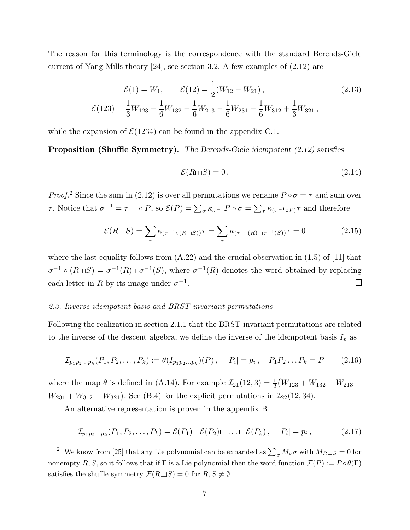The reason for this terminology is the correspondence with the standard Berends-Giele current of Yang-Mills theory [24], see section 3.2. A few examples of (2.12) are

$$
\mathcal{E}(1) = W_1, \qquad \mathcal{E}(12) = \frac{1}{2}(W_{12} - W_{21}), \tag{2.13}
$$
\n
$$
\mathcal{E}(123) = \frac{1}{3}W_{123} - \frac{1}{6}W_{132} - \frac{1}{6}W_{213} - \frac{1}{6}W_{231} - \frac{1}{6}W_{312} + \frac{1}{3}W_{321},
$$

while the expansion of  $\mathcal{E}(1234)$  can be found in the appendix C.1.

Proposition (Shuffle Symmetry). The Berends-Giele idempotent (2.12) satisfies

$$
\mathcal{E}(R \sqcup S) = 0. \tag{2.14}
$$

*Proof.*<sup>2</sup> Since the sum in (2.12) is over all permutations we rename  $P \circ \sigma = \tau$  and sum over τ. Notice that  $\sigma^{-1} = \tau^{-1} \circ P$ , so  $\mathcal{E}(P) = \sum_{\sigma} \kappa_{\sigma^{-1}} P \circ \sigma = \sum_{\tau} \kappa_{(\tau^{-1} \circ P)} \tau$  and therefore

$$
\mathcal{E}(R \sqcup S) = \sum_{\tau} \kappa_{(\tau^{-1} \circ (R \sqcup S))} \tau = \sum_{\tau} \kappa_{(\tau^{-1}(R) \sqcup \tau^{-1}(S))} \tau = 0 \tag{2.15}
$$

where the last equality follows from  $(A.22)$  and the crucial observation in  $(1.5)$  of  $[11]$  that  $\sigma^{-1} \circ (R \sqcup S) = \sigma^{-1}(R) \sqcup \sigma^{-1}(S)$ , where  $\sigma^{-1}(R)$  denotes the word obtained by replacing each letter in R by its image under  $\sigma^{-1}$ .  $\Box$ 

### 2.3. Inverse idempotent basis and BRST-invariant permutations

Following the realization in section 2.1.1 that the BRST-invariant permutations are related to the inverse of the descent algebra, we define the inverse of the idempotent basis  $I_p$  as

$$
\mathcal{I}_{p_1p_2...p_k}(P_1, P_2,..., P_k) := \theta(I_{p_1p_2...p_k})(P), \quad |P_i| = p_i, \quad P_1P_2...P_k = P \qquad (2.16)
$$

where the map  $\theta$  is defined in (A.14). For example  $\mathcal{I}_{21}(12,3) = \frac{1}{2}(W_{123} + W_{132} - W_{213} - W_{123})$  $W_{231} + W_{312} - W_{321}$ . See (B.4) for the explicit permutations in  $\mathcal{I}_{22}(12, 34)$ .

An alternative representation is proven in the appendix B

$$
\mathcal{I}_{p_1p_2\ldots p_k}(P_1, P_2, \ldots, P_k) = \mathcal{E}(P_1) \sqcup \mathcal{E}(P_2) \sqcup \ldots \sqcup \mathcal{E}(P_k), \quad |P_i| = p_i, \qquad (2.17)
$$

<sup>&</sup>lt;sup>2</sup> We know from [25] that any Lie polynomial can be expanded as  $\sum_{\sigma} M_{\sigma} \sigma$  with  $M_{R \sqcup S} = 0$  for nonempty R, S, so it follows that if  $\Gamma$  is a Lie polynomial then the word function  $\mathcal{F}(P) := P \circ \theta(\Gamma)$ satisfies the shuffle symmetry  $\mathcal{F}(R \sqcup S) = 0$  for  $R, S \neq \emptyset$ .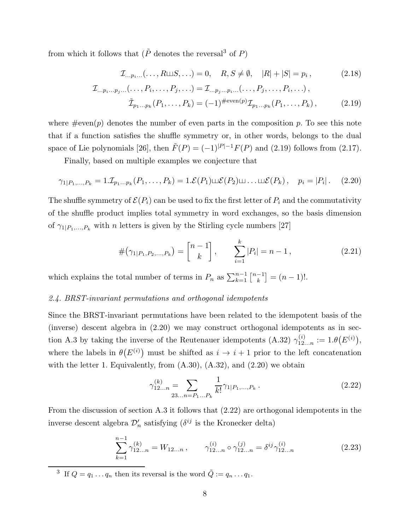from which it follows that  $(\tilde{P}$  denotes the reversal<sup>3</sup> of P)

$$
\mathcal{I}_{...p_i...}(\ldots,R \sqcup S,\ldots) = 0, \quad R, S \neq \emptyset, \quad |R| + |S| = p_i, \tag{2.18}
$$

$$
\mathcal{I}_{\ldots p_i \ldots p_j \ldots (\ldots, P_i, \ldots, P_j, \ldots)} = \mathcal{I}_{\ldots p_j \ldots p_i \ldots (\ldots, P_j, \ldots, P_i, \ldots)},
$$
\n
$$
\tilde{\mathcal{I}}_{p_1 \ldots p_k}(P_1, \ldots, P_k) = (-1)^{\#\text{even}(p)} \mathcal{I}_{p_1 \ldots p_k}(P_1, \ldots, P_k),
$$
\n(2.19)

where  $\#\text{even}(p)$  denotes the number of even parts in the composition p. To see this note that if a function satisfies the shuffle symmetry or, in other words, belongs to the dual space of Lie polynomials [26], then  $\tilde{F}(P) = (-1)^{|P|-1}F(P)$  and (2.19) follows from (2.17).

Finally, based on multiple examples we conjecture that

$$
\gamma_{1|P_1,...,P_k} = 1.\mathcal{I}_{p_1...p_k}(P_1,...,P_k) = 1.\mathcal{E}(P_1) \sqcup \mathcal{E}(P_2) \sqcup ... \sqcup \mathcal{E}(P_k), \quad p_i = |P_i|.
$$
 (2.20)

The shuffle symmetry of  $\mathcal{E}(P_i)$  can be used to fix the first letter of  $P_i$  and the commutativity of the shuffle product implies total symmetry in word exchanges, so the basis dimension of  $\gamma_{1|P_1,...,P_k}$  with *n* letters is given by the Stirling cycle numbers [27]

$$
\#(\gamma_{1|P_1,P_2,...,P_k}) = \begin{bmatrix} n-1 \\ k \end{bmatrix}, \qquad \sum_{i=1}^k |P_i| = n-1, \qquad (2.21)
$$

which explains the total number of terms in  $P_n$  as  $\sum_{k=1}^{n-1} \binom{n-1}{k}$  $\begin{bmatrix} -1 \\ k \end{bmatrix} = (n-1)!$ .

### 2.4. BRST-invariant permutations and orthogonal idempotents

Since the BRST-invariant permutations have been related to the idempotent basis of the (inverse) descent algebra in (2.20) we may construct orthogonal idempotents as in section A.3 by taking the inverse of the Reutenauer idempotents (A.32)  $\gamma_{12...n}^{(i)} := 1.\theta(E^{(i)}),$ where the labels in  $\theta(E^{(i)})$  must be shifted as  $i \to i+1$  prior to the left concatenation with the letter 1. Equivalently, from  $(A.30)$ ,  $(A.32)$ , and  $(2.20)$  we obtain

$$
\gamma_{12...n}^{(k)} = \sum_{23...n = P_1...P_k} \frac{1}{k!} \gamma_{1|P_1,...,P_k} \,. \tag{2.22}
$$

From the discussion of section A.3 it follows that (2.22) are orthogonal idempotents in the inverse descent algebra  $\mathcal{D}'_n$  satisfying ( $\delta^{ij}$  is the Kronecker delta)

$$
\sum_{k=1}^{n-1} \gamma_{12...n}^{(k)} = W_{12...n}, \qquad \gamma_{12...n}^{(i)} \circ \gamma_{12...n}^{(j)} = \delta^{ij} \gamma_{12...n}^{(i)}
$$
(2.23)

<sup>3</sup> If  $Q = q_1 \dots q_n$  then its reversal is the word  $\tilde{Q} := q_n \dots q_1$ .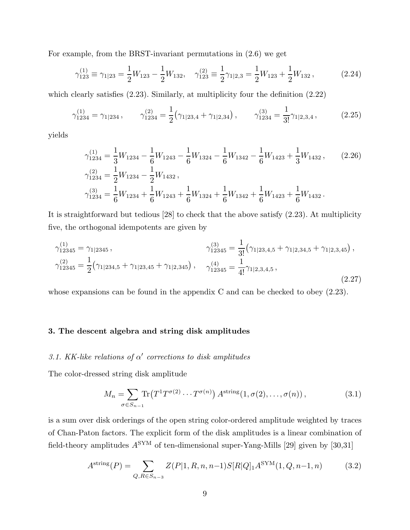For example, from the BRST-invariant permutations in (2.6) we get

$$
\gamma_{123}^{(1)} \equiv \gamma_{1|23} = \frac{1}{2} W_{123} - \frac{1}{2} W_{132}, \quad \gamma_{123}^{(2)} \equiv \frac{1}{2} \gamma_{1|2,3} = \frac{1}{2} W_{123} + \frac{1}{2} W_{132}, \tag{2.24}
$$

which clearly satisfies  $(2.23)$ . Similarly, at multiplicity four the definition  $(2.22)$ 

$$
\gamma_{1234}^{(1)} = \gamma_{1|234} , \qquad \gamma_{1234}^{(2)} = \frac{1}{2} \left( \gamma_{1|23,4} + \gamma_{1|2,34} \right) , \qquad \gamma_{1234}^{(3)} = \frac{1}{3!} \gamma_{1|2,3,4} , \tag{2.25}
$$

yields

$$
\gamma_{1234}^{(1)} = \frac{1}{3} W_{1234} - \frac{1}{6} W_{1243} - \frac{1}{6} W_{1324} - \frac{1}{6} W_{1342} - \frac{1}{6} W_{1423} + \frac{1}{3} W_{1432},
$$
\n
$$
\gamma_{1234}^{(2)} = \frac{1}{2} W_{1234} - \frac{1}{2} W_{1432},
$$
\n
$$
\gamma_{1234}^{(3)} = \frac{1}{6} W_{1234} + \frac{1}{6} W_{1243} + \frac{1}{6} W_{1324} + \frac{1}{6} W_{1342} + \frac{1}{6} W_{1423} + \frac{1}{6} W_{1432}.
$$
\n(2.26)

It is straightforward but tedious [28] to check that the above satisfy (2.23). At multiplicity five, the orthogonal idempotents are given by

$$
\gamma_{12345}^{(1)} = \gamma_{1|2345},
$$
\n
$$
\gamma_{12345}^{(3)} = \frac{1}{3!} (\gamma_{1|23,4,5} + \gamma_{1|2,34,5} + \gamma_{1|2,3,45}),
$$
\n
$$
\gamma_{12345}^{(2)} = \frac{1}{2} (\gamma_{1|234,5} + \gamma_{1|23,45} + \gamma_{1|2,34,5}),
$$
\n
$$
\gamma_{12345}^{(4)} = \frac{1}{4!} \gamma_{1|2,3,4,5},
$$
\n
$$
\gamma_{12345}^{(4)} = \frac{1}{4!} \gamma_{1|2,3,4,5},
$$
\n
$$
(2.27)
$$

whose expansions can be found in the appendix C and can be checked to obey (2.23).

# 3. The descent algebra and string disk amplitudes

# 3.1. KK-like relations of  $\alpha'$  corrections to disk amplitudes

The color-dressed string disk amplitude

$$
M_n = \sum_{\sigma \in S_{n-1}} \text{Tr}\left(T^1 T^{\sigma(2)} \cdots T^{\sigma(n)}\right) A^{\text{string}}(1, \sigma(2), \ldots, \sigma(n)),\tag{3.1}
$$

is a sum over disk orderings of the open string color-ordered amplitude weighted by traces of Chan-Paton factors. The explicit form of the disk amplitudes is a linear combination of field-theory amplitudes  $A^{\text{SYM}}$  of ten-dimensional super-Yang-Mills [29] given by [30,31]

$$
A^{\text{string}}(P) = \sum_{Q, R \in S_{n-3}} Z(P|1, R, n, n-1) S[R|Q]_1 A^{\text{SYM}}(1, Q, n-1, n) \tag{3.2}
$$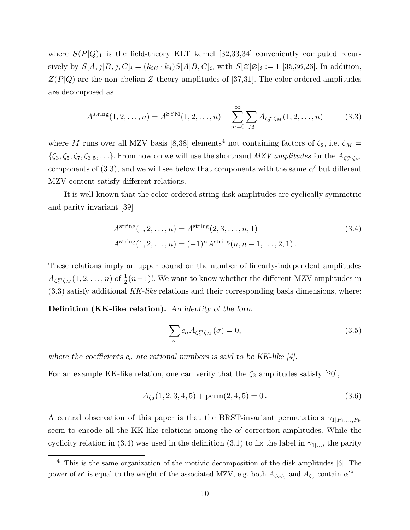where  $S(P|Q)$ <sub>1</sub> is the field-theory KLT kernel [32,33,34] conveniently computed recursively by  $S[A, j|B, j, C]_i = (k_{iB} \cdot k_j)S[A|B, C]_i$ , with  $S[\emptyset|\emptyset]_i := 1$  [35,36,26]. In addition,  $Z(P|Q)$  are the non-abelian Z-theory amplitudes of [37,31]. The color-ordered amplitudes are decomposed as

$$
A^{\text{string}}(1, 2, ..., n) = A^{\text{SYM}}(1, 2, ..., n) + \sum_{m=0}^{\infty} \sum_{M} A_{\zeta_2^m \zeta_M}(1, 2, ..., n)
$$
(3.3)

where M runs over all MZV basis [8,38] elements<sup>4</sup> not containing factors of  $\zeta_2$ , i.e.  $\zeta_M$  =  $\{\zeta_3,\zeta_5,\zeta_7,\zeta_{3,5},\ldots\}$ . From now on we will use the shorthand  $MZV$  amplitudes for the  $A_{\zeta_2^m\zeta_M}$ components of (3.3), and we will see below that components with the same  $\alpha'$  but different MZV content satisfy different relations.

It is well-known that the color-ordered string disk amplitudes are cyclically symmetric and parity invariant [39]

$$
Astring(1, 2, ..., n) = Astring(2, 3, ..., n, 1)
$$
\n(3.4)  
\n
$$
Astring(1, 2, ..., n) = (-1)n Astring(n, n - 1, ..., 2, 1).
$$

These relations imply an upper bound on the number of linearly-independent amplitudes  $A_{\zeta_2^m\zeta_M}(1,2,\ldots,n)$  of  $\frac{1}{2}(n-1)!$ . We want to know whether the different MZV amplitudes in  $(3.3)$  satisfy additional KK-like relations and their corresponding basis dimensions, where:

Definition (KK-like relation). An identity of the form

$$
\sum_{\sigma} c_{\sigma} A_{\zeta_2^m \zeta_M}(\sigma) = 0, \tag{3.5}
$$

where the coefficients  $c_{\sigma}$  are rational numbers is said to be KK-like [4].

For an example KK-like relation, one can verify that the  $\zeta_2$  amplitudes satisfy [20],

$$
A_{\zeta_2}(1,2,3,4,5) + \text{perm}(2,4,5) = 0. \tag{3.6}
$$

A central observation of this paper is that the BRST-invariant permutations  $\gamma_{1|P_1,...,P_k}$ seem to encode all the KK-like relations among the  $\alpha'$ -correction amplitudes. While the cyclicity relation in (3.4) was used in the definition (3.1) to fix the label in  $\gamma_{1}$ ..., the parity

<sup>4</sup> This is the same organization of the motivic decomposition of the disk amplitudes [6]. The power of  $\alpha'$  is equal to the weight of the associated MZV, e.g. both  $A_{\zeta_2\zeta_3}$  and  $A_{\zeta_5}$  contain  ${\alpha'}^5$ .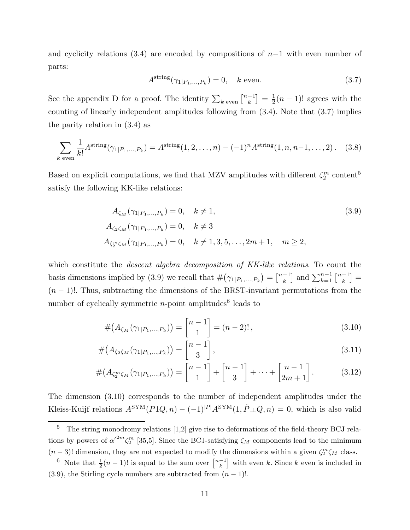and cyclicity relations (3.4) are encoded by compositions of  $n-1$  with even number of parts:

$$
Astring(\gamma_{1|P_1,\dots,P_k}) = 0, \quad k \text{ even.}
$$
\n(3.7)

See the appendix D for a proof. The identity  $\sum_{k \text{ even}} \binom{n-1}{k}$  $\left[\begin{smallmatrix} -1 \ k \end{smallmatrix}\right] = \frac{1}{2}$  $\frac{1}{2}(n-1)!$  agrees with the counting of linearly independent amplitudes following from (3.4). Note that (3.7) implies the parity relation in (3.4) as

$$
\sum_{k \text{ even}} \frac{1}{k!} A^{\text{string}}(\gamma_{1|P_1,\dots,P_k}) = A^{\text{string}}(1,2,\dots,n) - (-1)^n A^{\text{string}}(1,n,n-1,\dots,2). \tag{3.8}
$$

Based on explicit computations, we find that MZV amplitudes with different  $\zeta_2^m$  content<sup>5</sup> satisfy the following KK-like relations:

$$
A_{\zeta_M}(\gamma_{1|P_1,...,P_k}) = 0, \quad k \neq 1,
$$
  
\n
$$
A_{\zeta_2\zeta_M}(\gamma_{1|P_1,...,P_k}) = 0, \quad k \neq 3
$$
  
\n
$$
A_{\zeta_2^m\zeta_M}(\gamma_{1|P_1,...,P_k}) = 0, \quad k \neq 1, 3, 5, ..., 2m + 1, \quad m \ge 2,
$$
\n
$$
(3.9)
$$

which constitute the *descent algebra decomposition of KK-like relations*. To count the basis dimensions implied by (3.9) we recall that  $\#(\gamma_{1|P_1,...,P_k}) = \binom{n-1}{k}$  $\begin{bmatrix} -1 \\ k \end{bmatrix}$  and  $\sum_{k=1}^{n-1} \begin{bmatrix} n-1 \\ k \end{bmatrix}$  $\left[\begin{smallmatrix} -1 \ k \end{smallmatrix}\right]=$  $(n-1)!$ . Thus, subtracting the dimensions of the BRST-invariant permutations from the number of cyclically symmetric *n*-point amplitudes<sup>6</sup> leads to

$$
#(A_{\zeta_M}(\gamma_{1|P_1,\ldots,P_k})) = \begin{bmatrix} n-1 \\ 1 \end{bmatrix} = (n-2)!,
$$
\n(3.10)

$$
#(A_{\zeta_2\zeta_M}(\gamma_{1|P_1,\ldots,P_k})) = \begin{bmatrix} n-1\\3 \end{bmatrix},
$$
\n(3.11)

$$
\#(A_{\zeta_2^m\zeta_M}(\gamma_{1|P_1,...,P_k})) = \begin{bmatrix} n-1 \\ 1 \end{bmatrix} + \begin{bmatrix} n-1 \\ 3 \end{bmatrix} + \dots + \begin{bmatrix} n-1 \\ 2m+1 \end{bmatrix}.
$$
 (3.12)

The dimension (3.10) corresponds to the number of independent amplitudes under the Kleiss-Kuijf relations  $A^{SYM}(P1Q, n) - (-1)^{|P|}A^{SYM}(1, \tilde{P}\sqcup Q, n) = 0$ , which is also valid

 $5$  The string monodromy relations  $[1,2]$  give rise to deformations of the field-theory BCJ relations by powers of  $\alpha'^{2m}\zeta_2^m$  [35,5]. Since the BCJ-satisfying  $\zeta_M$  components lead to the minimum  $(n-3)!$  dimension, they are not expected to modify the dimensions within a given  $\zeta_2^m \zeta_M$  class.

<sup>&</sup>lt;sup>6</sup> Note that  $\frac{1}{2}(n-1)!$  is equal to the sum over  $\binom{n-1}{k}$  $\binom{-1}{k}$  with even k. Since k even is included in (3.9), the Stirling cycle numbers are subtracted from  $(n-1)!$ .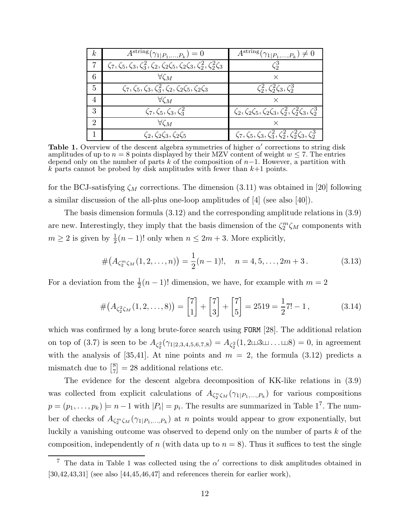| $\mathbf{k}$  | $\overline{A^{\mathrm{string}}}(\gamma_{1 P_1,,P_k})=0$                                                      | $\overline{A}^{\text{string}}(\gamma_{1 P_1,,P_k}) \neq 0$                           |
|---------------|--------------------------------------------------------------------------------------------------------------|--------------------------------------------------------------------------------------|
|               | $\zeta_7, \zeta_5, \zeta_3, \zeta_3^2, \zeta_2, \zeta_2\zeta_5, \zeta_2\zeta_3, \zeta_2^2, \zeta_2^2\zeta_3$ | $\zeta_2^3$                                                                          |
| 6             | $\forall \zeta_M$                                                                                            |                                                                                      |
| 5             | $\zeta_7, \zeta_5, \zeta_3, \zeta_3^2, \zeta_2, \zeta_2\zeta_5, \zeta_2\zeta_3$                              | $\zeta_2^2, \zeta_2^2 \zeta_3, \zeta_2^3$                                            |
| 4             | $\forall \zeta_M$                                                                                            |                                                                                      |
| 3             | $\zeta_7, \zeta_5, \zeta_3, \zeta_3^2$                                                                       | $\zeta_2, \zeta_2 \zeta_5, \zeta_2 \zeta_3, \zeta_2^2, \zeta_2^2 \zeta_3, \zeta_2^3$ |
| $\mathcal{D}$ | $\forall \zeta_M$                                                                                            |                                                                                      |
|               | $\zeta_2, \zeta_2\zeta_3, \zeta_2\zeta_5$                                                                    | $\zeta_7, \zeta_5, \zeta_3, \zeta_3^2, \zeta_2^2, \zeta_2^2 \zeta_3, \zeta_2^3$      |

Table 1. Overview of the descent algebra symmetries of higher  $\alpha'$  corrections to string disk amplitudes of up to  $n = 8$  points displayed by their MZV content of weight  $w \le 7$ . The entries depend only on the number of parts k of the composition of  $n-1$ . However, a partition with k parts cannot be probed by disk amplitudes with fewer than  $k+1$  points.

for the BCJ-satisfying  $\zeta_M$  corrections. The dimension (3.11) was obtained in [20] following a similar discussion of the all-plus one-loop amplitudes of [4] (see also [40]).

The basis dimension formula (3.12) and the corresponding amplitude relations in (3.9) are new. Interestingly, they imply that the basis dimension of the  $\zeta_2^m \zeta_M$  components with  $m \geq 2$  is given by  $\frac{1}{2}(n-1)!$  only when  $n \leq 2m+3$ . More explicitly,

$$
#(A_{\zeta_2^m\zeta_M}(1,2,\ldots,n)) = \frac{1}{2}(n-1)!, \quad n = 4,5,\ldots,2m+3.
$$
 (3.13)

For a deviation from the  $\frac{1}{2}(n-1)!$  dimension, we have, for example with  $m=2$ 

$$
\#(A_{\zeta_2^2\zeta_M}(1,2,\ldots,8)) = \begin{bmatrix} 7 \\ 1 \end{bmatrix} + \begin{bmatrix} 7 \\ 3 \end{bmatrix} + \begin{bmatrix} 7 \\ 5 \end{bmatrix} = 2519 = \frac{1}{2}7! - 1, \tag{3.14}
$$

which was confirmed by a long brute-force search using FORM [28]. The additional relation on top of (3.7) is seen to be  $A_{\zeta_2^2}(\gamma_{1|2,3,4,5,6,7,8}) = A_{\zeta_2^2}(1,2 \sqcup 3 \sqcup \ldots \sqcup 8) = 0$ , in agreement with the analysis of [35,41]. At nine points and  $m = 2$ , the formula (3.12) predicts a mismatch due to  $\begin{bmatrix} 8 \\ 7 \end{bmatrix}$  $\binom{8}{7} = 28$  additional relations etc.

The evidence for the descent algebra decomposition of KK-like relations in (3.9) was collected from explicit calculations of  $A_{\zeta_2^n\zeta_M}(\gamma_{1|P_1,...,P_k})$  for various compositions  $p = (p_1, \ldots, p_k) \models n-1$  with  $|P_i| = p_i$ . The results are summarized in Table 1<sup>7</sup>. The number of checks of  $A_{\zeta_2^m\zeta_M}(\gamma_{1|P_1,...,P_k})$  at n points would appear to grow exponentially, but luckily a vanishing outcome was observed to depend only on the number of parts k of the composition, independently of n (with data up to  $n = 8$ ). Thus it suffices to test the single

<sup>&</sup>lt;sup>7</sup> The data in Table 1 was collected using the  $\alpha'$  corrections to disk amplitudes obtained in  $[30,42,43,31]$  (see also  $[44,45,46,47]$  and references therein for earlier work),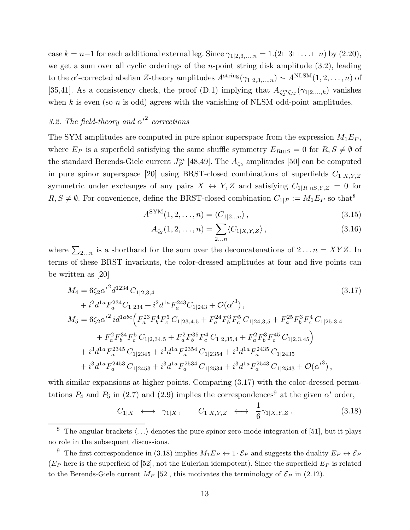case  $k = n-1$  for each additional external leg. Since  $\gamma_{1|2,3,\dots,n} = 1.(2 \sqcup 3 \sqcup \dots \sqcup n)$  by  $(2.20)$ , we get a sum over all cyclic orderings of the *n*-point string disk amplitude  $(3.2)$ , leading to the  $\alpha'$ -corrected abelian Z-theory amplitudes  $A^{\text{string}}(\gamma_{1|2,3,...,n}) \sim A^{\text{NLSM}}(1,2,...,n)$  of [35,41]. As a consistency check, the proof (D.1) implying that  $A_{\zeta_2^m\zeta_M}(\gamma_{1|2,\ldots,k})$  vanishes when k is even (so n is odd) agrees with the vanishing of NLSM odd-point amplitudes.

# 3.2. The field-theory and  $\alpha'^2$  corrections

The SYM amplitudes are computed in pure spinor superspace from the expression  $M_1E_P$ , where  $E_P$  is a superfield satisfying the same shuffle symmetry  $E_{R\sqcup S} = 0$  for  $R, S \neq \emptyset$  of the standard Berends-Giele current  $J_P^m$  [48,49]. The  $A_{\zeta_2}$  amplitudes [50] can be computed in pure spinor superspace [20] using BRST-closed combinations of superfields  $C_{1|X,Y,Z}$ symmetric under exchanges of any pairs  $X \leftrightarrow Y, Z$  and satisfying  $C_{1|R\sqcup S,Y,Z} = 0$  for  $R, S \neq \emptyset$ . For convenience, define the BRST-closed combination  $C_{1|P} := M_1E_P$  so that<sup>8</sup>

$$
A^{\text{SYM}}(1,2,\ldots,n) = \langle C_{1|2\ldots n} \rangle, \qquad (3.15)
$$

$$
A_{\zeta_2}(1,2,\ldots,n) = \sum_{2\ldots n} \langle C_{1|X,Y,Z} \rangle, \qquad (3.16)
$$

where  $\sum_{2...n}$  is a shorthand for the sum over the deconcatenations of  $2...n = XYZ$ . In terms of these BRST invariants, the color-dressed amplitudes at four and five points can be written as [20]

$$
M_{4} = 6\zeta_{2}\alpha'^{2}d^{1234}C_{1|2,3,4}
$$
\n
$$
+ i^{2}d^{1a}F_{a}^{234}C_{1|234} + i^{2}d^{1a}F_{a}^{243}C_{1|243} + \mathcal{O}(\alpha'^{3}),
$$
\n
$$
M_{5} = 6\zeta_{2}\alpha'^{2}id^{1abc}\left(F_{a}^{23}F_{b}^{4}F_{c}^{5}C_{1|23,4,5} + F_{a}^{24}F_{b}^{3}F_{c}^{5}C_{1|24,3,5} + F_{a}^{25}F_{b}^{3}F_{c}^{4}C_{1|25,3,4}\right)
$$
\n
$$
+ F_{a}^{2}F_{b}^{34}F_{c}^{5}C_{1|2,34,5} + F_{a}^{2}F_{b}^{35}F_{c}^{4}C_{1|2,35,4} + F_{a}^{2}F_{b}^{3}F_{c}^{45}C_{1|2,3,45}\right)
$$
\n
$$
+ i^{3}d^{1a}F_{a}^{2345}C_{1|2345} + i^{3}d^{1a}F_{a}^{2354}C_{1|2354} + i^{3}d^{1a}F_{a}^{2435}C_{1|2435}
$$
\n
$$
+ i^{3}d^{1a}F_{a}^{2453}C_{1|2453} + i^{3}d^{1a}F_{a}^{2534}C_{1|2534} + i^{3}d^{1a}F_{a}^{2543}C_{1|2543} + \mathcal{O}(\alpha'^{3}),
$$
\n
$$
(3.17)
$$
\n
$$
(3.17)
$$

with similar expansions at higher points. Comparing  $(3.17)$  with the color-dressed permutations  $P_4$  and  $P_5$  in (2.7) and (2.9) implies the correspondences<sup>9</sup> at the given  $\alpha'$  order,

$$
C_{1|X} \longleftrightarrow \gamma_{1|X}, \qquad C_{1|X,Y,Z} \longleftrightarrow \frac{1}{6}\gamma_{1|X,Y,Z}. \tag{3.18}
$$

<sup>&</sup>lt;sup>8</sup> The angular brackets  $\langle \ldots \rangle$  denotes the pure spinor zero-mode integration of [51], but it plays no role in the subsequent discussions.

<sup>&</sup>lt;sup>9</sup> The first correspondence in (3.18) implies  $M_1E_P \leftrightarrow 1 \cdot \mathcal{E}_P$  and suggests the duality  $E_P \leftrightarrow \mathcal{E}_P$  $(E_P)$  here is the superfield of [52], not the Eulerian idempotent). Since the superfield  $E_P$  is related to the Berends-Giele current  $M_P$  [52], this motivates the terminology of  $\mathcal{E}_P$  in (2.12).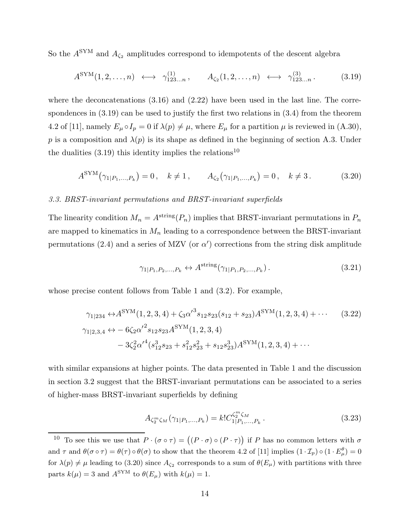So the  $A^{\text{SYM}}$  and  $A_{\zeta_2}$  amplitudes correspond to idempotents of the descent algebra

$$
A^{\text{SYM}}(1,2,\ldots,n) \longleftrightarrow \gamma_{123\ldots n}^{(1)}, \qquad A_{\zeta_2}(1,2,\ldots,n) \leftrightarrow \gamma_{123\ldots n}^{(3)}.
$$
 (3.19)

where the deconcatenations  $(3.16)$  and  $(2.22)$  have been used in the last line. The correspondences in  $(3.19)$  can be used to justify the first two relations in  $(3.4)$  from the theorem 4.2 of [11], namely  $E_{\mu} \circ I_{p} = 0$  if  $\lambda(p) \neq \mu$ , where  $E_{\mu}$  for a partition  $\mu$  is reviewed in (A.30), p is a composition and  $\lambda(p)$  is its shape as defined in the beginning of section A.3. Under the dualities  $(3.19)$  this identity implies the relations<sup>10</sup>

$$
A^{\text{SYM}}(\gamma_{1|P_1,...,P_k}) = 0, \quad k \neq 1, \qquad A_{\zeta_2}(\gamma_{1|P_1,...,P_k}) = 0, \quad k \neq 3. \tag{3.20}
$$

#### 3.3. BRST-invariant permutations and BRST-invariant superfields

The linearity condition  $M_n = A^{\text{string}}(P_n)$  implies that BRST-invariant permutations in  $P_n$ are mapped to kinematics in  $M_n$  leading to a correspondence between the BRST-invariant permutations (2.4) and a series of MZV (or  $\alpha'$ ) corrections from the string disk amplitude

$$
\gamma_{1|P_1, P_2, ..., P_k} \leftrightarrow A^{\text{string}}(\gamma_{1|P_1, P_2, ..., P_k})\,. \tag{3.21}
$$

whose precise content follows from Table 1 and (3.2). For example,

$$
\gamma_{1|234} \leftrightarrow A^{\text{SYM}}(1,2,3,4) + \zeta_3 \alpha'^3 s_{12} s_{23} (s_{12} + s_{23}) A^{\text{SYM}}(1,2,3,4) + \cdots \qquad (3.22)
$$
  

$$
\gamma_{1|2,3,4} \leftrightarrow -6 \zeta_2 \alpha'^2 s_{12} s_{23} A^{\text{SYM}}(1,2,3,4) -3 \zeta_2^2 \alpha'^4 (s_{12}^3 s_{23} + s_{12}^2 s_{23}^2 + s_{12} s_{23}^3) A^{\text{SYM}}(1,2,3,4) + \cdots
$$

with similar expansions at higher points. The data presented in Table 1 and the discussion in section 3.2 suggest that the BRST-invariant permutations can be associated to a series of higher-mass BRST-invariant superfields by defining

$$
A_{\zeta_2^m\zeta_M}(\gamma_{1|P_1,\dots,P_k}) = k! C_{1|P_1,\dots,P_k}^{\zeta_2^m\zeta_M}.
$$
 (3.23)

<sup>&</sup>lt;sup>10</sup> To see this we use that  $P \cdot (\sigma \circ \tau) = ((P \cdot \sigma) \circ (P \cdot \tau))$  if P has no common letters with  $\sigma$ and  $\tau$  and  $\theta(\sigma \circ \tau) = \theta(\tau) \circ \theta(\sigma)$  to show that the theorem 4.2 of [11] implies  $(1 \cdot \mathcal{I}_p) \circ (1 \cdot E_\mu^{\theta}) = 0$ for  $\lambda(p) \neq \mu$  leading to (3.20) since  $A_{\zeta_2}$  corresponds to a sum of  $\theta(E_\mu)$  with partitions with three parts  $k(\mu) = 3$  and  $A^{\text{SYM}}$  to  $\theta(E_{\mu})$  with  $k(\mu) = 1$ .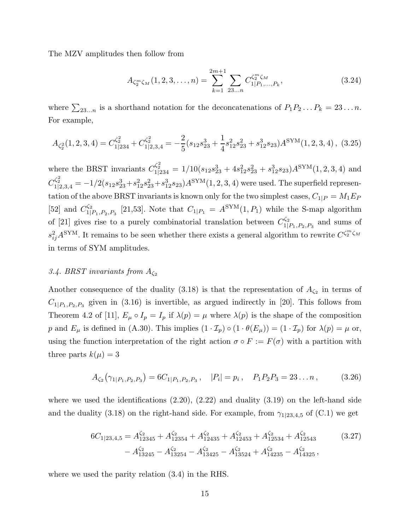The MZV amplitudes then follow from

$$
A_{\zeta_2^m\zeta_M}(1,2,3,\ldots,n) = \sum_{k=1}^{2m+1} \sum_{23\ldots n} C_{1|P_1,\ldots,P_k}^{\zeta_2^m\zeta_M},\tag{3.24}
$$

where  $\sum_{23...n}$  is a shorthand notation for the deconcatenations of  $P_1P_2...P_k = 23...n$ . For example,

$$
A_{\zeta_2^2}(1,2,3,4) = C_{1|234}^{\zeta_2^2} + C_{1|2,3,4}^{\zeta_2^2} = -\frac{2}{5}(s_{12}s_{23}^3 + \frac{1}{4}s_{12}^2s_{23}^2 + s_{12}^3s_{23})A^{\text{SYM}}(1,2,3,4),
$$
 (3.25)

where the BRST invariants  $C_{1|234}^{\zeta_2^2} = 1/10(s_{12}s_{23}^3 + 4s_{12}^2s_{23}^2 + s_{12}^3s_{23})A^{\text{SYM}}(1,2,3,4)$  and  $C_{1|2,3,4}^{\zeta_2^2} = -1/2(s_{12}s_{23}^3+s_{12}^2s_{23}^2+s_{12}^3s_{23})A^{\text{SYM}}(1,2,3,4)$  were used. The superfield representation of the above BRST invariants is known only for the two simplest cases,  $C_{1|P} = M_1 E_P$ [52] and  $C_{11}^{\zeta_2}$  $\frac{C_{2}}{1|P_{1},P_{2},P_{3}}$  [21,53]. Note that  $C_{1|P_{1}} = A^{\text{SYM}}(1,P_{1})$  while the S-map algorithm of [21] gives rise to a purely combinatorial translation between  $C_{1}^{\zeta_2}$  $1|P_1,P_2,P_3|$  and sums of  $s_{ij}^2 A^{\text{SYM}}$ . It remains to be seen whether there exists a general algorithm to rewrite  $C^{\zeta_2^m\zeta_M}$ in terms of SYM amplitudes.

# 3.4. BRST invariants from  $A_{\zeta_2}$

Another consequence of the duality (3.18) is that the representation of  $A_{\zeta_2}$  in terms of  $C_{1|P_1,P_2,P_3}$  given in (3.16) is invertible, as argued indirectly in [20]. This follows from Theorem 4.2 of [11],  $E_{\mu} \circ I_{p} = I_{p}$  if  $\lambda(p) = \mu$  where  $\lambda(p)$  is the shape of the composition p and  $E_{\mu}$  is defined in (A.30). This implies  $(1 \cdot \mathcal{I}_{p}) \circ (1 \cdot \theta(E_{\mu})) = (1 \cdot \mathcal{I}_{p})$  for  $\lambda(p) = \mu$  or, using the function interpretation of the right action  $\sigma \circ F := F(\sigma)$  with a partition with three parts  $k(\mu) = 3$ 

$$
A_{\zeta_2}(\gamma_{1|P_1,P_2,P_3}) = 6C_{1|P_1,P_2,P_3}, \quad |P_i| = p_i, \quad P_1 P_2 P_3 = 23...n, \tag{3.26}
$$

where we used the identifications  $(2.20)$ ,  $(2.22)$  and duality  $(3.19)$  on the left-hand side and the duality (3.18) on the right-hand side. For example, from  $\gamma_{1|23,4,5}$  of (C.1) we get

$$
6C_{1|23,4,5} = A_{12345}^{\zeta_2} + A_{12354}^{\zeta_2} + A_{12435}^{\zeta_2} + A_{12453}^{\zeta_2} + A_{12534}^{\zeta_2} + A_{12543}^{\zeta_2}
$$
\n
$$
- A_{13245}^{\zeta_2} - A_{13254}^{\zeta_2} - A_{13425}^{\zeta_2} - A_{13524}^{\zeta_2} + A_{14235}^{\zeta_2} - A_{14325}^{\zeta_2},
$$
\n
$$
(3.27)
$$

where we used the parity relation (3.4) in the RHS.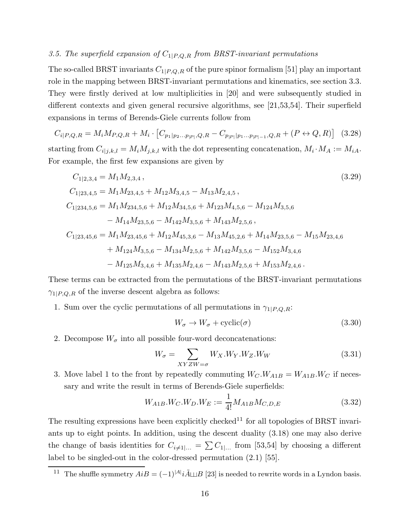# 3.5. The superfield expansion of  $C_{1|P,Q,R}$  from BRST-invariant permutations

The so-called BRST invariants  $C_{1|P,Q,R}$  of the pure spinor formalism [51] play an important role in the mapping between BRST-invariant permutations and kinematics, see section 3.3. They were firstly derived at low multiplicities in [20] and were subsequently studied in different contexts and given general recursive algorithms, see [21,53,54]. Their superfield expansions in terms of Berends-Giele currents follow from

$$
C_{i|P,Q,R} = M_i M_{P,Q,R} + M_i \cdot \left[ C_{p_1|p_2...p_{|P|},Q,R} - C_{p_{|P|}|p_1...p_{|P|-1},Q,R} + (P \leftrightarrow Q,R) \right] \tag{3.28}
$$

starting from  $C_{i|j,k,l} = M_i M_{j,k,l}$  with the dot representing concatenation,  $M_i \cdot M_A := M_{iA}$ . For example, the first few expansions are given by

$$
C_{1|2,3,4} = M_1 M_{2,3,4},
$$
\n
$$
C_{1|23,4,5} = M_1 M_{23,4,5} + M_{12} M_{3,4,5} - M_{13} M_{2,4,5},
$$
\n
$$
C_{1|234,5,6} = M_1 M_{234,5,6} + M_{12} M_{34,5,6} + M_{123} M_{4,5,6} - M_{124} M_{3,5,6}
$$
\n
$$
- M_{14} M_{23,5,6} - M_{142} M_{3,5,6} + M_{143} M_{2,5,6},
$$
\n
$$
C_{1|23,45,6} = M_1 M_{23,45,6} + M_{12} M_{45,3,6} - M_{13} M_{45,2,6} + M_{14} M_{23,5,6} - M_{15} M_{23,4,6}
$$
\n
$$
+ M_{124} M_{3,5,6} - M_{134} M_{2,5,6} + M_{142} M_{3,5,6} - M_{152} M_{3,4,6}
$$
\n
$$
- M_{125} M_{3,4,6} + M_{135} M_{2,4,6} - M_{143} M_{2,5,6} + M_{153} M_{2,4,6}.
$$
\n(3.29)

These terms can be extracted from the permutations of the BRST-invariant permutations  $\gamma_{1|P,Q,R}$  of the inverse descent algebra as follows:

1. Sum over the cyclic permutations of all permutations in  $\gamma_{1|P,Q,R}$ :

$$
W_{\sigma} \to W_{\sigma} + \text{cyclic}(\sigma) \tag{3.30}
$$

2. Decompose  $W_{\sigma}$  into all possible four-word deconcatenations:

$$
W_{\sigma} = \sum_{XYZW = \sigma} W_X . W_Y . W_Z . W_W \tag{3.31}
$$

3. Move label 1 to the front by repeatedly commuting  $W_C W_{A1B} = W_{A1B} W_C$  if necessary and write the result in terms of Berends-Giele superfields:

$$
W_{A1B}.W_C.W_D.W_E := \frac{1}{4!} M_{A1B} M_{C,D,E}
$$
\n(3.32)

The resulting expressions have been explicitly checked<sup>11</sup> for all topologies of BRST invariants up to eight points. In addition, using the descent duality (3.18) one may also derive the change of basis identities for  $C_{i\neq1|...} = \sum C_{1|...}$  from [53,54] by choosing a different label to be singled-out in the color-dressed permutation (2.1) [55].

<sup>&</sup>lt;sup>11</sup> The shuffle symmetry  $AiB = (-1)^{|A|} i\tilde{A} \sqcup B$  [23] is needed to rewrite words in a Lyndon basis.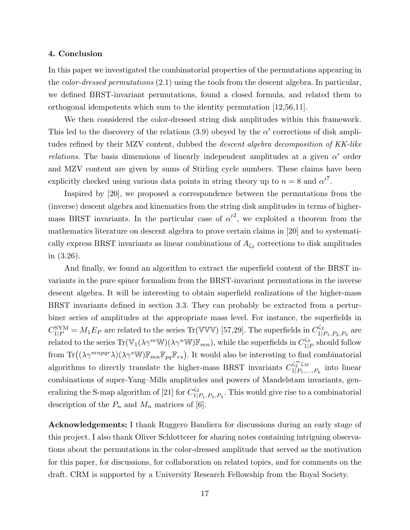#### 4. Conclusion

In this paper we investigated the combinatorial properties of the permutations appearing in the *color-dressed permutations* (2.1) using the tools from the descent algebra. In particular, we defined BRST-invariant permutations, found a closed formula, and related them to orthogonal idempotents which sum to the identity permutation [12,56,11].

We then considered the color-dressed string disk amplitudes within this framework. This led to the discovery of the relations  $(3.9)$  obeyed by the  $\alpha'$  corrections of disk amplitudes refined by their MZV content, dubbed the descent algebra decomposition of KK-like *relations*. The basis dimensions of linearly independent amplitudes at a given  $\alpha'$  order and MZV content are given by sums of Stirling cycle numbers. These claims have been explicitly checked using various data points in string theory up to  $n = 8$  and  ${\alpha'}^7$ .

Inspired by [20], we proposed a correspondence between the permutations from the (inverse) descent algebra and kinematics from the string disk amplitudes in terms of highermass BRST invariants. In the particular case of  $\alpha'^2$ , we exploited a theorem from the mathematics literature on descent algebra to prove certain claims in [20] and to systematically express BRST invariants as linear combinations of  $A_{\zeta_2}$  corrections to disk amplitudes in (3.26).

And finally, we found an algorithm to extract the superfield content of the BRST invariants in the pure spinor formalism from the BRST-invariant permutations in the inverse descent algebra. It will be interesting to obtain superfield realizations of the higher-mass BRST invariants defined in section 3.3. They can probably be extracted from a perturbiner series of amplitudes at the appropriate mass level. For instance, the superfields in  $C_{1|P}^{\text{SYM}} = M_1 E_P$  are related to the series Tr(VVV) [57,29]. The superfields in  $C_{1|}^{\zeta_2}$  $a_{1|P_1,P_2,P_3}^{q_2}$  are related to the series  $\text{Tr}(\mathbb{V}_1(\lambda \gamma^m \mathbb{W})(\lambda \gamma^n \mathbb{W})\mathbb{F}_{mn})$ , while the superfields in  $C_{11}^{\zeta_3}$  $j_{1|P}^{\prime 3}$  should follow from  $\text{Tr}((\lambda \gamma^{mnpqr} \lambda)(\lambda \gamma^{s} \mathbb{W}) \mathbb{F}_{mn} \mathbb{F}_{pq} \mathbb{F}_{rs})$ . It would also be interesting to find combinatorial algorithms to directly translate the higher-mass BRST invariants  $C_{1|P_1}^{\zeta_2^m\zeta_M}$  $a_{1|P_1,...,P_k}^{q_2 q_1}$  into linear combinations of super-Yang–Mills amplitudes and powers of Mandelstam invariants, generalizing the S-map algorithm of [21] for  $C_{1}^{\zeta_2}$  $\mathbb{S}^2_{1|P_1,P_2,P_3}$ . This would give rise to a combinatorial description of the  $P_n$  and  $M_n$  matrices of [6].

Acknowledgements: I thank Ruggero Bandiera for discussions during an early stage of this project. I also thank Oliver Schlotterer for sharing notes containing intriguing observations about the permutations in the color-dressed amplitude that served as the motivation for this paper, for discussions, for collaboration on related topics, and for comments on the draft. CRM is supported by a University Research Fellowship from the Royal Society.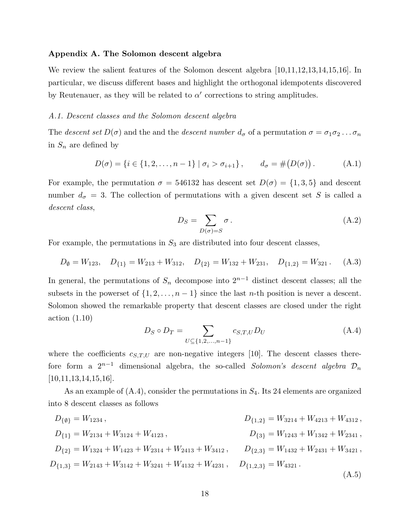#### Appendix A. The Solomon descent algebra

We review the salient features of the Solomon descent algebra [10,11,12,13,14,15,16]. In particular, we discuss different bases and highlight the orthogonal idempotents discovered by Reutenauer, as they will be related to  $\alpha'$  corrections to string amplitudes.

#### A.1. Descent classes and the Solomon descent algebra

The descent set  $D(\sigma)$  and the and the descent number  $d_{\sigma}$  of a permutation  $\sigma = \sigma_1 \sigma_2 \ldots \sigma_n$ in  $S_n$  are defined by

$$
D(\sigma) = \{ i \in \{1, 2, \dots, n-1\} \mid \sigma_i > \sigma_{i+1} \}, \qquad d_{\sigma} = \#(D(\sigma)). \tag{A.1}
$$

For example, the permutation  $\sigma = 546132$  has descent set  $D(\sigma) = \{1, 3, 5\}$  and descent number  $d_{\sigma} = 3$ . The collection of permutations with a given descent set S is called a descent class,

$$
D_S = \sum_{D(\sigma) = S} \sigma \,. \tag{A.2}
$$

For example, the permutations in  $S_3$  are distributed into four descent classes,

$$
D_{\emptyset} = W_{123}, \quad D_{\{1\}} = W_{213} + W_{312}, \quad D_{\{2\}} = W_{132} + W_{231}, \quad D_{\{1,2\}} = W_{321}. \tag{A.3}
$$

In general, the permutations of  $S_n$  decompose into  $2^{n-1}$  distinct descent classes; all the subsets in the powerset of  $\{1, 2, \ldots, n-1\}$  since the last *n*-th position is never a descent. Solomon showed the remarkable property that descent classes are closed under the right action (1.10)

$$
D_S \circ D_T = \sum_{U \subseteq \{1, 2, \dots, n-1\}} c_{S, T, U} D_U \tag{A.4}
$$

where the coefficients  $c_{S,T,U}$  are non-negative integers [10]. The descent classes therefore form a  $2^{n-1}$  dimensional algebra, the so-called Solomon's descent algebra  $\mathcal{D}_n$  $[10,11,13,14,15,16].$ 

As an example of  $(A.4)$ , consider the permutations in  $S_4$ . Its 24 elements are organized into 8 descent classes as follows

$$
D_{\{0\}} = W_{1234},
$$
\n
$$
D_{\{1,2\}} = W_{3214} + W_{4213} + W_{4312},
$$
\n
$$
D_{\{1\}} = W_{2134} + W_{3124} + W_{4123},
$$
\n
$$
D_{\{2\}} = W_{1324} + W_{1423} + W_{2314} + W_{2413} + W_{3412},
$$
\n
$$
D_{\{2,3\}} = W_{1432} + W_{2431} + W_{3421},
$$
\n
$$
D_{\{1,3\}} = W_{2143} + W_{3142} + W_{3241} + W_{4132} + W_{4231},
$$
\n
$$
D_{\{1,2,3\}} = W_{4321}.
$$
\n(A.5)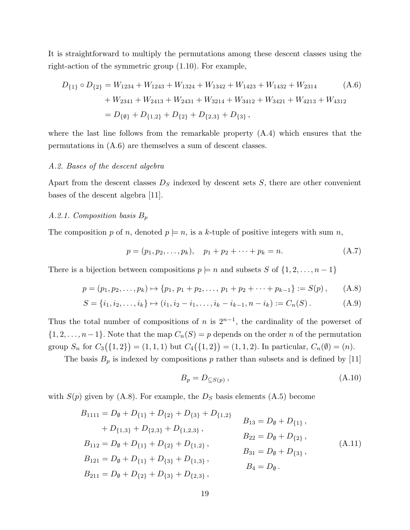It is straightforward to multiply the permutations among these descent classes using the right-action of the symmetric group (1.10). For example,

$$
D_{\{1\}} \circ D_{\{2\}} = W_{1234} + W_{1243} + W_{1324} + W_{1342} + W_{1423} + W_{1432} + W_{2314}
$$
\n
$$
+ W_{2341} + W_{2413} + W_{2431} + W_{3214} + W_{3412} + W_{3421} + W_{4213} + W_{4312}
$$
\n
$$
= D_{\{\emptyset\}} + D_{\{1,2\}} + D_{\{2\}} + D_{\{2,3\}} + D_{\{3\}},
$$
\n(A.6)

where the last line follows from the remarkable property (A.4) which ensures that the permutations in (A.6) are themselves a sum of descent classes.

#### A.2. Bases of the descent algebra

Apart from the descent classes  $D<sub>S</sub>$  indexed by descent sets S, there are other convenient bases of the descent algebra [11].

## A.2.1. Composition basis  $B_p$

The composition p of n, denoted  $p \models n$ , is a k-tuple of positive integers with sum n,

$$
p = (p_1, p_2, \dots, p_k), \quad p_1 + p_2 + \dots + p_k = n. \tag{A.7}
$$

There is a bijection between compositions  $p \models n$  and subsets S of  $\{1, 2, \ldots, n-1\}$ 

$$
p = (p_1, p_2, \dots, p_k) \mapsto \{p_1, p_1 + p_2, \dots, p_1 + p_2 + \dots + p_{k-1}\} := S(p), \qquad (A.8)
$$

$$
S = \{i_1, i_2, \dots, i_k\} \mapsto (i_1, i_2 - i_1, \dots, i_k - i_{k-1}, n - i_k) := C_n(S).
$$
 (A.9)

Thus the total number of compositions of n is  $2^{n-1}$ , the cardinality of the powerset of  $\{1, 2, \ldots, n-1\}$ . Note that the map  $C_n(S) = p$  depends on the order n of the permutation group  $S_n$  for  $C_3(\{1,2\}) = (1,1,1)$  but  $C_4(\{1,2\}) = (1,1,2)$ . In particular,  $C_n(\emptyset) = (n)$ .

The basis  $B_p$  is indexed by compositions p rather than subsets and is defined by [11]

$$
B_p = D_{\subseteq S(p)}\,,\tag{A.10}
$$

with  $S(p)$  given by (A.8). For example, the  $D<sub>S</sub>$  basis elements (A.5) become

$$
B_{1111} = D_{\emptyset} + D_{\{1\}} + D_{\{2\}} + D_{\{3\}} + D_{\{1,2\}} \qquad B_{13} = D_{\emptyset} + D_{\{1\}},
$$
  
\n
$$
+ D_{\{1,3\}} + D_{\{2,3\}} + D_{\{1,2,3\}},
$$
  
\n
$$
B_{112} = D_{\emptyset} + D_{\{1\}} + D_{\{2\}} + D_{\{1,2\}},
$$
  
\n
$$
B_{121} = D_{\emptyset} + D_{\{1\}} + D_{\{3\}} + D_{\{1,3\}},
$$
  
\n
$$
B_{211} = D_{\emptyset} + D_{\{2\}} + D_{\{3\}} + D_{\{2,3\}},
$$
  
\n
$$
B_{31} = D_{\emptyset} + D_{\{3\}},
$$
  
\n
$$
B_{4} = D_{\emptyset}.
$$
  
\n(A.11)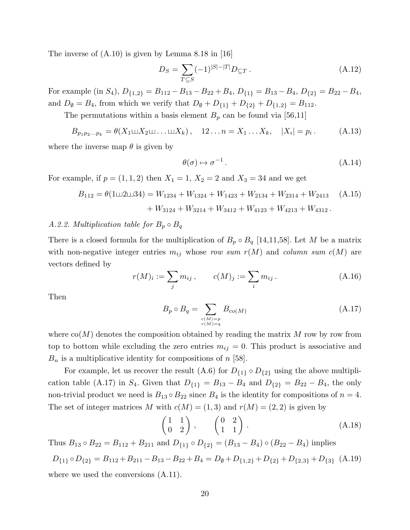The inverse of  $(A.10)$  is given by Lemma 8.18 in [16]

$$
D_S = \sum_{T \subseteq S} (-1)^{|S| - |T|} D_{\subseteq T} . \tag{A.12}
$$

For example (in  $S_4$ ),  $D_{\{1,2\}} = B_{112} - B_{13} - B_{22} + B_4$ ,  $D_{\{1\}} = B_{13} - B_4$ ,  $D_{\{2\}} = B_{22} - B_4$ , and  $D_{\emptyset} = B_4$ , from which we verify that  $D_{\emptyset} + D_{\{1\}} + D_{\{2\}} + D_{\{1,2\}} = B_{112}$ .

The permutations within a basis element  $B_p$  can be found via [56,11]

$$
B_{p_1p_2...p_k} = \theta(X_1 \sqcup X_2 \sqcup ... \sqcup X_k), \quad 12 \dots n = X_1 \dots X_k, \quad |X_i| = p_i. \tag{A.13}
$$

where the inverse map  $\theta$  is given by

$$
\theta(\sigma) \mapsto \sigma^{-1} \,. \tag{A.14}
$$

For example, if  $p = (1, 1, 2)$  then  $X_1 = 1$ ,  $X_2 = 2$  and  $X_3 = 34$  and we get

$$
B_{112} = \theta(1 \sqcup 2 \sqcup 34) = W_{1234} + W_{1324} + W_{1423} + W_{2134} + W_{2314} + W_{2413} \quad (A.15)
$$

$$
+ W_{3124} + W_{3214} + W_{3412} + W_{4123} + W_{4213} + W_{4312}.
$$

## A.2.2. Multiplication table for  $B_p \circ B_q$

There is a closed formula for the multiplication of  $B_p \circ B_q$  [14,11,58]. Let M be a matrix with non-negative integer entries  $m_{ij}$  whose row sum  $r(M)$  and column sum  $c(M)$  are vectors defined by

$$
r(M)_i := \sum_j m_{ij}, \qquad c(M)_j := \sum_i m_{ij}.
$$
 (A.16)

Then

$$
B_p \circ B_q = \sum_{\substack{c(M) = p \\ r(M) = q}} B_{\text{co}(M)} \tag{A.17}
$$

where  $\text{co}(M)$  denotes the composition obtained by reading the matrix M row by row from top to bottom while excluding the zero entries  $m_{ij} = 0$ . This product is associative and  $B_n$  is a multiplicative identity for compositions of n [58].

For example, let us recover the result (A.6) for  $D_{\{1\}} \circ D_{\{2\}}$  using the above multiplication table (A.17) in  $S_4$ . Given that  $D_{\{1\}} = B_{13} - B_4$  and  $D_{\{2\}} = B_{22} - B_4$ , the only non-trivial product we need is  $B_{13} \circ B_{22}$  since  $B_4$  is the identity for compositions of  $n = 4$ . The set of integer matrices M with  $c(M) = (1, 3)$  and  $r(M) = (2, 2)$  is given by

$$
\begin{pmatrix} 1 & 1 \ 0 & 2 \end{pmatrix}, \qquad \begin{pmatrix} 0 & 2 \ 1 & 1 \end{pmatrix}. \tag{A.18}
$$

Thus  $B_{13} \circ B_{22} = B_{112} + B_{211}$  and  $D_{\{1\}} \circ D_{\{2\}} = (B_{13} - B_4) \circ (B_{22} - B_4)$  implies

$$
D_{\{1\}} \circ D_{\{2\}} = B_{112} + B_{211} - B_{13} - B_{22} + B_4 = D_{\emptyset} + D_{\{1,2\}} + D_{\{2\}} + D_{\{2,3\}} + D_{\{3\}}
$$
 (A.19)  
where we used the conversions (A.11).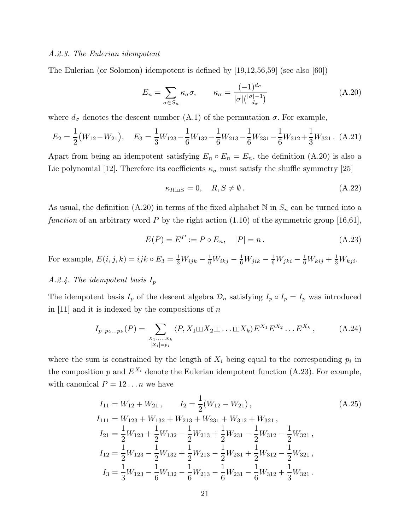#### A.2.3. The Eulerian idempotent

The Eulerian (or Solomon) idempotent is defined by [19,12,56,59] (see also [60])

$$
E_n = \sum_{\sigma \in S_n} \kappa_{\sigma} \sigma, \qquad \kappa_{\sigma} = \frac{(-1)^{d_{\sigma}}}{|\sigma| \binom{|\sigma| - 1}{d_{\sigma}}}
$$
(A.20)

where  $d_{\sigma}$  denotes the descent number (A.1) of the permutation  $\sigma$ . For example,

$$
E_2 = \frac{1}{2}(W_{12} - W_{21}), \quad E_3 = \frac{1}{3}W_{123} - \frac{1}{6}W_{132} - \frac{1}{6}W_{213} - \frac{1}{6}W_{231} - \frac{1}{6}W_{312} + \frac{1}{3}W_{321}.
$$
 (A.21)

Apart from being an idempotent satisfying  $E_n \circ E_n = E_n$ , the definition (A.20) is also a Lie polynomial [12]. Therefore its coefficients  $\kappa_{\sigma}$  must satisfy the shuffle symmetry [25]

$$
\kappa_{R \sqcup S} = 0, \quad R, S \neq \emptyset. \tag{A.22}
$$

As usual, the definition (A.20) in terms of the fixed alphabet N in  $S_n$  can be turned into a function of an arbitrary word P by the right action  $(1.10)$  of the symmetric group [16,61],

$$
E(P) = EP := P \circ E_n, \quad |P| = n.
$$
 (A.23)

For example,  $E(i, j, k) = ijk \circ E_3 = \frac{1}{3}W_{ijk} - \frac{1}{6}W_{ikj} - \frac{1}{6}W_{jik} - \frac{1}{6}W_{jki} - \frac{1}{6}W_{kij} + \frac{1}{3}W_{kji}$ .

# A.2.4. The idempotent basis  $I_p$

The idempotent basis  $I_p$  of the descent algebra  $\mathcal{D}_n$  satisfying  $I_p \circ I_p = I_p$  was introduced in [11] and it is indexed by the compositions of  $n$ 

$$
I_{p_1p_2...p_k}(P) = \sum_{\substack{x_1,\ldots,x_k\\|x_i|=p_i}} \langle P, X_1 \sqcup X_2 \sqcup \ldots \sqcup X_k \rangle E^{X_1} E^{X_2} \ldots E^{X_k},
$$
 (A.24)

where the sum is constrained by the length of  $X_i$  being equal to the corresponding  $p_i$  in the composition p and  $E^{X_i}$  denote the Eulerian idempotent function (A.23). For example, with canonical  $P = 12...n$  we have

$$
I_{11} = W_{12} + W_{21}, \t I_2 = \frac{1}{2}(W_{12} - W_{21}),
$$
\n
$$
I_{111} = W_{123} + W_{132} + W_{213} + W_{231} + W_{312} + W_{321},
$$
\n
$$
I_{21} = \frac{1}{2}W_{123} + \frac{1}{2}W_{132} - \frac{1}{2}W_{213} + \frac{1}{2}W_{231} - \frac{1}{2}W_{312} - \frac{1}{2}W_{321},
$$
\n
$$
I_{12} = \frac{1}{2}W_{123} - \frac{1}{2}W_{132} + \frac{1}{2}W_{213} - \frac{1}{2}W_{231} + \frac{1}{2}W_{312} - \frac{1}{2}W_{321},
$$
\n
$$
I_3 = \frac{1}{3}W_{123} - \frac{1}{6}W_{132} - \frac{1}{6}W_{213} - \frac{1}{6}W_{231} - \frac{1}{6}W_{312} + \frac{1}{3}W_{321}.
$$
\n(A.25)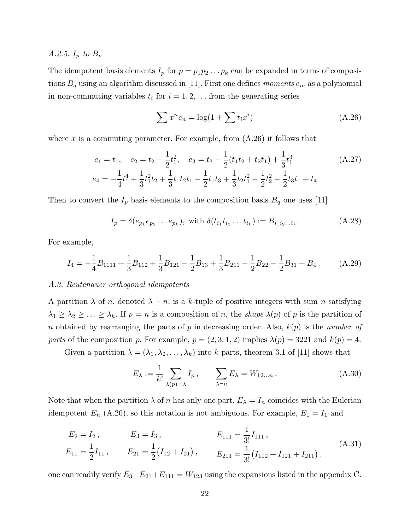A.2.5.  $I_p$  to  $B_p$ 

The idempotent basis elements  $I_p$  for  $p = p_1p_2 \ldots p_k$  can be expanded in terms of compositions  $B_q$  using an algorithm discussed in [11]. First one defines moments  $e_m$  as a polynomial in non-commuting variables  $t_i$  for  $i = 1, 2, \ldots$  from the generating series

$$
\sum x^n e_n = \log(1 + \sum t_i x^i)
$$
\n(A.26)

where x is a commuting parameter. For example, from  $(A.26)$  it follows that

$$
e_1 = t_1, \quad e_2 = t_2 - \frac{1}{2}t_1^2, \quad e_3 = t_3 - \frac{1}{2}(t_1t_2 + t_2t_1) + \frac{1}{3}t_1^3 \tag{A.27}
$$
\n
$$
e_4 = -\frac{1}{4}t_1^4 + \frac{1}{3}t_1^2t_2 + \frac{1}{3}t_1t_2t_1 - \frac{1}{2}t_1t_3 + \frac{1}{3}t_2t_1^2 - \frac{1}{2}t_2^2 - \frac{1}{2}t_3t_1 + t_4
$$

Then to convert the  $I_p$  basis elements to the composition basis  $B_q$  one uses [11]

$$
I_p = \delta(e_{p_1}e_{p_2}\dots e_{p_k}), \text{ with } \delta(t_{i_1}t_{i_2}\dots t_{i_k}) := B_{i_1i_2\dots i_k}.
$$
 (A.28)

For example,

$$
I_4 = -\frac{1}{4}B_{1111} + \frac{1}{3}B_{112} + \frac{1}{3}B_{121} - \frac{1}{2}B_{13} + \frac{1}{3}B_{211} - \frac{1}{2}B_{22} - \frac{1}{2}B_{31} + B_4.
$$
 (A.29)

#### A.3. Reutenauer orthogonal idempotents

A partition  $\lambda$  of n, denoted  $\lambda \vdash n$ , is a k-tuple of positive integers with sum n satisfying  $\lambda_1 \geq \lambda_2 \geq \ldots \geq \lambda_k$ . If  $p \models n$  is a composition of n, the shape  $\lambda(p)$  of p is the partition of n obtained by rearranging the parts of p in decreasing order. Also,  $k(p)$  is the number of parts of the composition p. For example,  $p = (2, 3, 1, 2)$  implies  $\lambda(p) = 3221$  and  $k(p) = 4$ .

Given a partition  $\lambda = (\lambda_1, \lambda_2, \dots, \lambda_k)$  into k parts, theorem 3.1 of [11] shows that

$$
E_{\lambda} := \frac{1}{k!} \sum_{\lambda(p)=\lambda} I_p, \qquad \sum_{\lambda \vdash n} E_{\lambda} = W_{12...n}.
$$
 (A.30)

Note that when the partition  $\lambda$  of n has only one part,  $E_{\lambda} = I_n$  coincides with the Eulerian idempotent  $E_n$  (A.20), so this notation is not ambiguous. For example,  $E_1 = I_1$  and

$$
E_2 = I_2, \t E_3 = I_3, \t E_{111} = \frac{1}{3!} I_{111},
$$
  
\n
$$
E_{11} = \frac{1}{2} I_{11}, \t E_{21} = \frac{1}{2} (I_{12} + I_{21}), \t E_{211} = \frac{1}{3!} (I_{112} + I_{121} + I_{211}).
$$
\n(A.31)

one can readily verify  $E_3 + E_{21} + E_{111} = W_{123}$  using the expansions listed in the appendix C.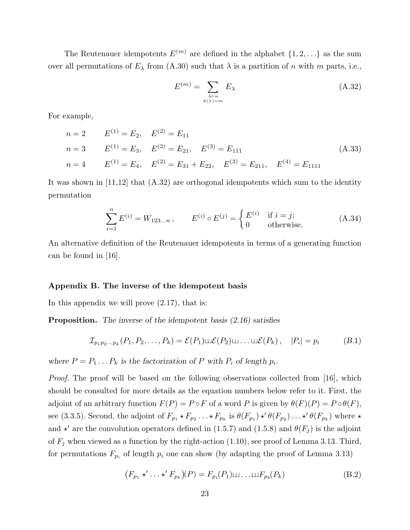The Reutenauer idempotents  $E^{(m)}$  are defined in the alphabet  $\{1, 2, ...\}$  as the sum over all permutations of  $E_{\lambda}$  from (A.30) such that  $\lambda$  is a partition of n with m parts, i.e.,

$$
E^{(m)} = \sum_{\substack{\lambda \vdash n \\ k(\lambda) = m}} E_{\lambda} \tag{A.32}
$$

For example,

$$
n = 2 \t E^{(1)} = E_2, \t E^{(2)} = E_{11}
$$
  
\n
$$
n = 3 \t E^{(1)} = E_3, \t E^{(2)} = E_{21}, \t E^{(3)} = E_{111}
$$
  
\n
$$
n = 4 \t E^{(1)} = E_4, \t E^{(2)} = E_{31} + E_{22}, \t E^{(3)} = E_{211}, \t E^{(4)} = E_{1111}
$$
\n(A.33)

It was shown in  $[11,12]$  that  $(A.32)$  are orthogonal idempotents which sum to the identity permutation

$$
\sum_{i=1}^{n} E^{(i)} = W_{123...n}, \qquad E^{(i)} \circ E^{(j)} = \begin{cases} E^{(i)} & \text{if } i = j; \\ 0 & \text{otherwise.} \end{cases}
$$
 (A.34)

An alternative definition of the Reutenauer idempotents in terms of a generating function can be found in [16].

#### Appendix B. The inverse of the idempotent basis

In this appendix we will prove (2.17), that is:

**Proposition.** The inverse of the idempotent basis  $(2.16)$  satisfies

$$
\mathcal{I}_{p_1p_2\ldots p_k}(P_1, P_2, \ldots, P_k) = \mathcal{E}(P_1) \sqcup \mathcal{E}(P_2) \sqcup \ldots \sqcup \mathcal{E}(P_k), \quad |P_i| = p_i \qquad (B.1)
$$

where  $P = P_1 \dots P_k$  is the factorization of P with  $P_i$  of length  $p_i$ .

*Proof.* The proof will be based on the following observations collected from [16], which should be consulted for more details as the equation numbers below refer to it. First, the adjoint of an arbitrary function  $F(P) = P \circ F$  of a word P is given by  $\theta(F)(P) = P \circ \theta(F)$ , see (3.3.5). Second, the adjoint of  $F_{p_1} \star F_{p_2} \ldots \star F_{p_k}$  is  $\theta(F_{p_1}) \star' \theta(F_{p_2}) \ldots \star' \theta(F_{p_k})$  where  $\star$ and  $\star'$  are the convolution operators defined in (1.5.7) and (1.5.8) and  $\theta(F_j)$  is the adjoint of  $F_j$  when viewed as a function by the right-action (1.10), see proof of Lemma 3.13. Third, for permutations  $F_{p_i}$  of length  $p_i$  one can show (by adapting the proof of Lemma 3.13)

$$
(F_{p_1} \star' \ldots \star' F_{p_k})(P) = F_{p_1}(P_1) \sqcup \ldots \sqcup F_{p_k}(P_k)
$$
\n(B.2)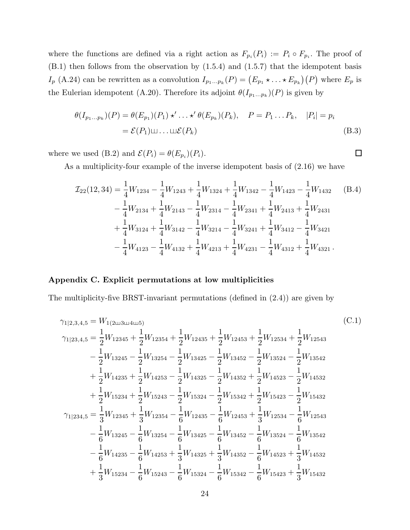where the functions are defined via a right action as  $F_{p_i}(P_i) := P_i \circ F_{p_i}$ . The proof of (B.1) then follows from the observation by (1.5.4) and (1.5.7) that the idempotent basis  $I_p$  (A.24) can be rewritten as a convolution  $I_{p_1...p_k}(P) = (E_{p_1} \star ... \star E_{p_k})(P)$  where  $E_p$  is the Eulerian idempotent (A.20). Therefore its adjoint  $\theta(I_{p_1...p_k})(P)$  is given by

$$
\theta(I_{p_1\ldots p_k})(P) = \theta(E_{p_1})(P_1) \star' \ldots \star' \theta(E_{p_k})(P_k), \quad P = P_1 \ldots P_k, \quad |P_i| = p_i
$$
  
=  $\mathcal{E}(P_1) \sqcup \ldots \sqcup \mathcal{E}(P_k)$  (B.3)

where we used (B.2) and  $\mathcal{E}(P_i) = \theta(E_{p_i})(P_i)$ .

As a multiplicity-four example of the inverse idempotent basis of (2.16) we have

$$
\mathcal{I}_{22}(12,34) = \frac{1}{4}W_{1234} - \frac{1}{4}W_{1243} + \frac{1}{4}W_{1324} + \frac{1}{4}W_{1342} - \frac{1}{4}W_{1423} - \frac{1}{4}W_{1432}
$$
\n
$$
- \frac{1}{4}W_{2134} + \frac{1}{4}W_{2143} - \frac{1}{4}W_{2314} - \frac{1}{4}W_{2341} + \frac{1}{4}W_{2413} + \frac{1}{4}W_{2431}
$$
\n
$$
+ \frac{1}{4}W_{3124} + \frac{1}{4}W_{3142} - \frac{1}{4}W_{3214} - \frac{1}{4}W_{3241} + \frac{1}{4}W_{3412} - \frac{1}{4}W_{3421}
$$
\n
$$
- \frac{1}{4}W_{4123} - \frac{1}{4}W_{4132} + \frac{1}{4}W_{4213} + \frac{1}{4}W_{4231} - \frac{1}{4}W_{4312} + \frac{1}{4}W_{4321}.
$$
\n(B.4)

## Appendix C. Explicit permutations at low multiplicities

The multiplicity-five BRST-invariant permutations (defined in (2.4)) are given by

$$
\gamma_{1|2,3,4,5} = W_{1(2 \text{u}3 \text{u}4 \text{u}5)} \qquad (C.1)
$$
\n
$$
\gamma_{1|23,4,5} = \frac{1}{2} W_{12345} + \frac{1}{2} W_{12354} + \frac{1}{2} W_{12435} + \frac{1}{2} W_{12453} + \frac{1}{2} W_{12534} + \frac{1}{2} W_{12543} - \frac{1}{2} W_{13245} - \frac{1}{2} W_{13254} - \frac{1}{2} W_{13425} - \frac{1}{2} W_{13452} - \frac{1}{2} W_{13524} - \frac{1}{2} W_{13542} + \frac{1}{2} W_{14235} + \frac{1}{2} W_{14253} - \frac{1}{2} W_{14325} - \frac{1}{2} W_{14352} + \frac{1}{2} W_{14523} - \frac{1}{2} W_{14532} + \frac{1}{2} W_{15234} + \frac{1}{2} W_{15243} - \frac{1}{2} W_{15324} - \frac{1}{2} W_{15342} + \frac{1}{2} W_{15423} - \frac{1}{2} W_{15432} - \frac{1}{2} W_{15432} - \frac{1}{2} W_{15432} - \frac{1}{2} W_{15432} - \frac{1}{2} W_{15432} - \frac{1}{6} W_{12435} - \frac{1}{6} W_{12435} + \frac{1}{3} W_{12534} - \frac{1}{6} W_{13245} - \frac{1}{6} W_{13245} - \frac{1}{6} W_{13452} - \frac{1}{6} W_{13524} - \frac{1}{6} W_{13542} - \frac{1}{6} W_{14235} - \frac{1}{6} W_{14235} - \frac{1}{6} W_{14235} + \frac{1}{3} W_{14325} + \frac{1}{3} W_{14352} - \frac{1}{6} W_{14523} + \frac{1}{3} W_{14532} + \frac{1}{
$$

 $\Box$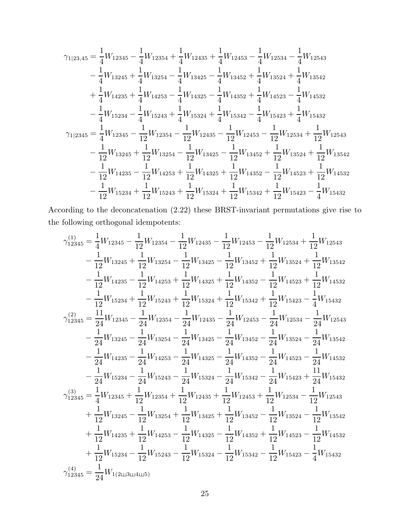$$
\begin{split} \gamma_{1|23,45} &= \frac{1}{4}W_{12345} - \frac{1}{4}W_{12354} + \frac{1}{4}W_{12435} + \frac{1}{4}W_{12453} - \frac{1}{4}W_{12534} - \frac{1}{4}W_{12543} \\ & - \frac{1}{4}W_{13245} + \frac{1}{4}W_{13254} - \frac{1}{4}W_{13425} - \frac{1}{4}W_{13452} + \frac{1}{4}W_{13524} + \frac{1}{4}W_{13542} \\ & + \frac{1}{4}W_{14235} + \frac{1}{4}W_{14253} - \frac{1}{4}W_{14325} - \frac{1}{4}W_{14352} + \frac{1}{4}W_{14523} - \frac{1}{4}W_{14532} \\ & - \frac{1}{4}W_{15234} - \frac{1}{4}W_{15243} + \frac{1}{4}W_{15324} + \frac{1}{4}W_{15342} - \frac{1}{4}W_{15423} + \frac{1}{4}W_{15432} \\ \gamma_{1|2345} &= \frac{1}{4}W_{12345} - \frac{1}{12}W_{12354} - \frac{1}{12}W_{12435} - \frac{1}{12}W_{12453} - \frac{1}{12}W_{12534} + \frac{1}{12}W_{12543} \\ & - \frac{1}{12}W_{13245} + \frac{1}{12}W_{13254} - \frac{1}{12}W_{13425} - \frac{1}{12}W_{13452} + \frac{1}{12}W_{13524} + \frac{1}{12}W_{13542} \\ & - \frac{1}{12}W_{14235} - \frac{1}{12}W_{14253} + \frac{1}{12}W_{14325} + \frac{1}{12}W_{14352} - \frac{1}{12}W_{14523} + \frac{1}{12}W_{14532} \\ & - \frac{1}{12}W_{15234} + \frac{1}{12}W_{1524
$$

According to the deconcatenation (2.22) these BRST-invariant permutations give rise to the following orthogonal idempotents:

$$
\begin{split} \gamma_{12345}^{(1)}&=\frac{1}{4}W_{12345}-\frac{1}{12}W_{12354}-\frac{1}{12}W_{12435}-\frac{1}{12}W_{12453}-\frac{1}{12}W_{12534}+\frac{1}{12}W_{12543}\\ &-\frac{1}{12}W_{13245}+\frac{1}{12}W_{13254}-\frac{1}{12}W_{13425}-\frac{1}{12}W_{13452}+\frac{1}{12}W_{13524}+\frac{1}{12}W_{13542}\\ &-\frac{1}{12}W_{14235}-\frac{1}{12}W_{14253}+\frac{1}{12}W_{14325}+\frac{1}{12}W_{14352}-\frac{1}{12}W_{14523}+\frac{1}{12}W_{14532}\\ &-\frac{1}{12}W_{15234}+\frac{1}{12}W_{15243}+\frac{1}{12}W_{15324}+\frac{1}{12}W_{15342}+\frac{1}{12}W_{15423}-\frac{1}{4}W_{15432}\\ \gamma_{12345}^{(2)}&=\frac{11}{24}W_{12345}-\frac{1}{24}W_{12354}-\frac{1}{24}W_{12435}-\frac{1}{24}W_{12453}-\frac{1}{24}W_{12534}-\frac{1}{24}W_{12543}\\ &-\frac{1}{24}W_{13245}-\frac{1}{24}W_{13254}-\frac{1}{24}W_{13425}-\frac{1}{24}W_{13452}-\frac{1}{24}W_{13524}-\frac{1}{24}W_{13542}\\ &-\frac{1}{24}W_{14235}-\frac{1}{24}W_{14253}-\frac{1}{24}W_{14325}-\frac{1}{24}W_{14352}-\frac{1}{24}W_{14523}-\frac{1}{24}W_{14532}\\ &-\frac{1}{24}W_{15234}-\frac{1}{24}W_{15243}-\frac{1}{24}W_{15324}-\frac
$$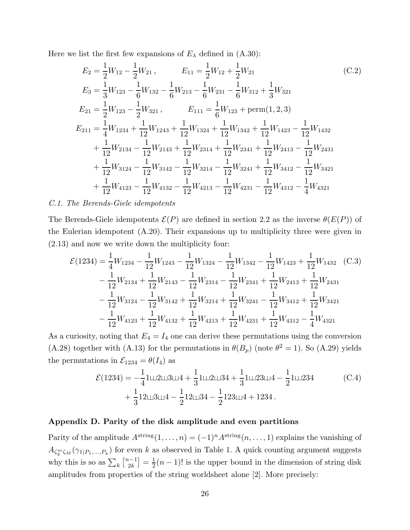Here we list the first few expansions of  $E_{\lambda}$  defined in  $(A.30)$ :

$$
E_2 = \frac{1}{2}W_{12} - \frac{1}{2}W_{21}, \qquad E_{11} = \frac{1}{2}W_{12} + \frac{1}{2}W_{21}
$$
(C.2)  
\n
$$
E_3 = \frac{1}{3}W_{123} - \frac{1}{6}W_{132} - \frac{1}{6}W_{213} - \frac{1}{6}W_{231} - \frac{1}{6}W_{312} + \frac{1}{3}W_{321}
$$
  
\n
$$
E_{21} = \frac{1}{2}W_{123} - \frac{1}{2}W_{321}, \qquad E_{111} = \frac{1}{6}W_{123} + \text{perm}(1, 2, 3)
$$
  
\n
$$
E_{211} = \frac{1}{4}W_{1234} + \frac{1}{12}W_{1243} + \frac{1}{12}W_{1324} + \frac{1}{12}W_{1342} + \frac{1}{12}W_{1423} - \frac{1}{12}W_{1432}
$$
  
\n
$$
+ \frac{1}{12}W_{2134} - \frac{1}{12}W_{2143} + \frac{1}{12}W_{2314} + \frac{1}{12}W_{2341} + \frac{1}{12}W_{2413} - \frac{1}{12}W_{2431}
$$
  
\n
$$
+ \frac{1}{12}W_{3124} - \frac{1}{12}W_{3142} - \frac{1}{12}W_{3214} - \frac{1}{12}W_{3241} + \frac{1}{12}W_{3412} - \frac{1}{12}W_{3421}
$$
  
\n
$$
+ \frac{1}{12}W_{4123} - \frac{1}{12}W_{4132} - \frac{1}{12}W_{4213} - \frac{1}{12}W_{4231} - \frac{1}{12}W_{4312} - \frac{1}{4}W_{4321}
$$

#### C.1. The Berends-Giele idempotents

The Berends-Giele idempotents  $\mathcal{E}(P)$  are defined in section 2.2 as the inverse  $\theta(E(P))$  of the Eulerian idempotent (A.20). Their expansions up to multiplicity three were given in (2.13) and now we write down the multiplicity four:

$$
\mathcal{E}(1234) = \frac{1}{4}W_{1234} - \frac{1}{12}W_{1243} - \frac{1}{12}W_{1324} - \frac{1}{12}W_{1342} - \frac{1}{12}W_{1423} + \frac{1}{12}W_{1432}
$$
 (C.3)  
\n
$$
- \frac{1}{12}W_{2134} + \frac{1}{12}W_{2143} - \frac{1}{12}W_{2314} - \frac{1}{12}W_{2341} + \frac{1}{12}W_{2413} + \frac{1}{12}W_{2431}
$$
\n
$$
- \frac{1}{12}W_{3124} - \frac{1}{12}W_{3142} + \frac{1}{12}W_{3214} + \frac{1}{12}W_{3241} - \frac{1}{12}W_{3412} + \frac{1}{12}W_{3421}
$$
\n
$$
- \frac{1}{12}W_{4123} + \frac{1}{12}W_{4132} + \frac{1}{12}W_{4213} + \frac{1}{12}W_{4231} + \frac{1}{12}W_{4312} - \frac{1}{4}W_{4321}
$$

As a curiosity, noting that  $E_4 = I_4$  one can derive these permutations using the conversion (A.28) together with (A.13) for the permutations in  $\theta(B_p)$  (note  $\theta^2 = 1$ ). So (A.29) yields the permutations in  $\mathcal{E}_{1234} = \theta(I_4)$  as

$$
\mathcal{E}(1234) = -\frac{1}{4}1 \sqcup 2 \sqcup 3 \sqcup 4 + \frac{1}{3}1 \sqcup 2 \sqcup 34 + \frac{1}{3}1 \sqcup 23 \sqcup 4 - \frac{1}{2}1 \sqcup 234
$$
\n
$$
+ \frac{1}{3}12 \sqcup 3 \sqcup 4 - \frac{1}{2}12 \sqcup 34 - \frac{1}{2}123 \sqcup 4 + 1234.
$$
\n(C.4)

#### Appendix D. Parity of the disk amplitude and even partitions

Parity of the amplitude  $A^{\text{string}}(1,\ldots,n) = (-1)^n A^{\text{string}}(n,\ldots,1)$  explains the vanishing of  $A_{\zeta_2^m\zeta_M}(\gamma_{1|P_1,...,P_k})$  for even k as observed in Table 1. A quick counting argument suggests why this is so as  $\sum_{k} \begin{bmatrix} n-1 \\ 2k \end{bmatrix}$  $\binom{k-1}{2k} = \frac{1}{2}$  $\frac{1}{2}(n-1)!$  is the upper bound in the dimension of string disk amplitudes from properties of the string worldsheet alone [2]. More precisely: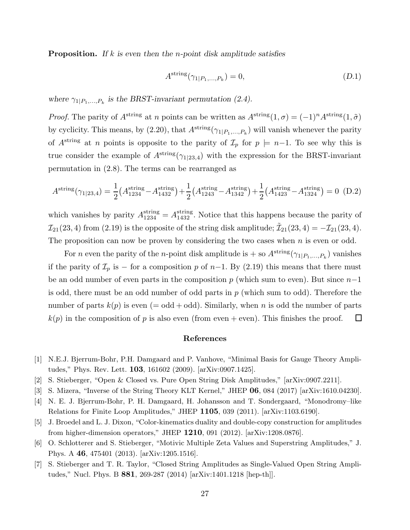**Proposition.** If k is even then the *n*-point disk amplitude satisfies

$$
A^{\text{string}}(\gamma_{1|P_1,\dots,P_k}) = 0,\tag{D.1}
$$

where  $\gamma_{1|P_1,...,P_k}$  is the BRST-invariant permutation (2.4).

*Proof.* The parity of  $A^{string}$  at n points can be written as  $A^{string}(1, \sigma) = (-1)^n A^{string}(1, \tilde{\sigma})$ by cyclicity. This means, by  $(2.20)$ , that  $A^{\text{string}}(\gamma_{1|P_1,...,P_k})$  will vanish whenever the parity of A<sup>string</sup> at n points is opposite to the parity of  $\mathcal{I}_p$  for  $p \models n-1$ . To see why this is true consider the example of  $A^{\text{string}}(\gamma_{1|23,4})$  with the expression for the BRST-invariant permutation in (2.8). The terms can be rearranged as

$$
A^{\text{string}}(\gamma_{1|23,4}) = \frac{1}{2} \left( A^{\text{string}}_{1234} - A^{\text{string}}_{1432} \right) + \frac{1}{2} \left( A^{\text{string}}_{1243} - A^{\text{string}}_{1342} \right) + \frac{1}{2} \left( A^{\text{string}}_{1423} - A^{\text{string}}_{1324} \right) = 0 \tag{D.2}
$$

which vanishes by parity  $A_{1234}^{string} = A_{1432}^{string}$ . Notice that this happens because the parity of  $\mathcal{I}_{21}(23,4)$  from  $(2.19)$  is the opposite of the string disk amplitude;  $\tilde{\mathcal{I}}_{21}(23,4) = -\mathcal{I}_{21}(23,4)$ . The proposition can now be proven by considering the two cases when  $n$  is even or odd.

For *n* even the parity of the *n*-point disk amplitude is + so  $A^{\text{string}}(\gamma_{1|P_1,...,P_k})$  vanishes if the parity of  $\mathcal{I}_p$  is – for a composition p of n–1. By (2.19) this means that there must be an odd number of even parts in the composition p (which sum to even). But since  $n-1$ is odd, there must be an odd number of odd parts in  $p$  (which sum to odd). Therefore the number of parts  $k(p)$  is even (= odd + odd). Similarly, when n is odd the number of parts  $k(p)$  in the composition of p is also even (from even + even). This finishes the proof. ⊔

## References

- [1] N.E.J. Bjerrum-Bohr, P.H. Damgaard and P. Vanhove, "Minimal Basis for Gauge Theory Amplitudes," Phys. Rev. Lett. 103, 161602 (2009). [arXiv:0907.1425].
- [2] S. Stieberger, "Open & Closed vs. Pure Open String Disk Amplitudes," [arXiv:0907.2211].
- [3] S. Mizera, "Inverse of the String Theory KLT Kernel," JHEP 06, 084 (2017) [arXiv:1610.04230].
- [4] N. E. J. Bjerrum-Bohr, P. H. Damgaard, H. Johansson and T. Sondergaard, "Monodromy–like Relations for Finite Loop Amplitudes," JHEP 1105, 039 (2011). [arXiv:1103.6190].
- [5] J. Broedel and L. J. Dixon, "Color-kinematics duality and double-copy construction for amplitudes from higher-dimension operators," JHEP 1210, 091 (2012). [arXiv:1208.0876].
- [6] O. Schlotterer and S. Stieberger, "Motivic Multiple Zeta Values and Superstring Amplitudes," J. Phys. A 46, 475401 (2013). [arXiv:1205.1516].
- [7] S. Stieberger and T. R. Taylor, "Closed String Amplitudes as Single-Valued Open String Amplitudes," Nucl. Phys. B 881, 269-287 (2014) [arXiv:1401.1218 [hep-th]].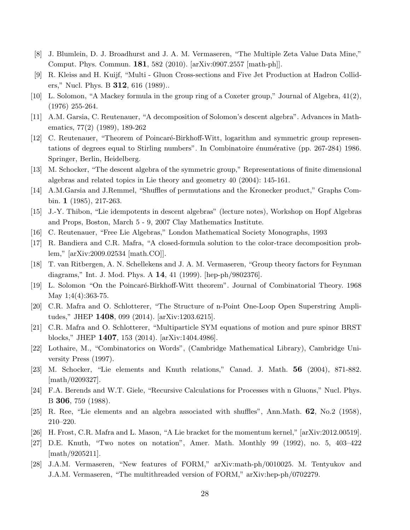- [8] J. Blumlein, D. J. Broadhurst and J. A. M. Vermaseren, "The Multiple Zeta Value Data Mine," Comput. Phys. Commun. 181, 582 (2010). [arXiv:0907.2557 [math-ph]].
- [9] R. Kleiss and H. Kuijf, "Multi Gluon Cross-sections and Five Jet Production at Hadron Colliders," Nucl. Phys. B 312, 616 (1989)..
- [10] L. Solomon, "A Mackey formula in the group ring of a Coxeter group," Journal of Algebra, 41(2), (1976) 255-264.
- [11] A.M. Garsia, C. Reutenauer, "A decomposition of Solomon's descent algebra". Advances in Mathematics, 77(2) (1989), 189-262
- [12] C. Reutenauer, "Theorem of Poincaré-Birkhoff-Witt, logarithm and symmetric group representations of degrees equal to Stirling numbers". In Combinatoire énumérative (pp. 267-284) 1986. Springer, Berlin, Heidelberg.
- [13] M. Schocker, "The descent algebra of the symmetric group," Representations of finite dimensional algebras and related topics in Lie theory and geometry 40 (2004): 145-161.
- [14] A.M.Garsia and J.Remmel, "Shuffles of permutations and the Kronecker product," Graphs Combin. 1 (1985), 217-263.
- [15] J.-Y. Thibon, "Lie idempotents in descent algebras" (lecture notes), Workshop on Hopf Algebras and Props, Boston, March 5 - 9, 2007 Clay Mathematics Institute.
- [16] C. Reutenauer, "Free Lie Algebras," London Mathematical Society Monographs, 1993
- [17] R. Bandiera and C.R. Mafra, "A closed-formula solution to the color-trace decomposition problem," [arXiv:2009.02534 [math.CO]].
- [18] T. van Ritbergen, A. N. Schellekens and J. A. M. Vermaseren, "Group theory factors for Feynman diagrams," Int. J. Mod. Phys. A 14, 41 (1999). [hep-ph/9802376].
- [19] L. Solomon "On the Poincaré-Birkhoff-Witt theorem". Journal of Combinatorial Theory. 1968 May 1;4(4):363-75.
- [20] C.R. Mafra and O. Schlotterer, "The Structure of n-Point One-Loop Open Superstring Amplitudes," JHEP 1408, 099 (2014). [arXiv:1203.6215].
- [21] C.R. Mafra and O. Schlotterer, "Multiparticle SYM equations of motion and pure spinor BRST blocks," JHEP 1407, 153 (2014). [arXiv:1404.4986].
- [22] Lothaire, M., "Combinatorics on Words", (Cambridge Mathematical Library), Cambridge University Press (1997).
- [23] M. Schocker, "Lie elements and Knuth relations," Canad. J. Math. 56 (2004), 871-882. [math/0209327].
- [24] F.A. Berends and W.T. Giele, "Recursive Calculations for Processes with n Gluons," Nucl. Phys. B 306, 759 (1988).
- [25] R. Ree, "Lie elements and an algebra associated with shuffles", Ann.Math. 62, No.2 (1958), 210–220.
- [26] H. Frost, C.R. Mafra and L. Mason, "A Lie bracket for the momentum kernel," [arXiv:2012.00519].
- [27] D.E. Knuth, "Two notes on notation", Amer. Math. Monthly 99 (1992), no. 5, 403–422 [math/9205211].
- [28] J.A.M. Vermaseren, "New features of FORM," arXiv:math-ph/0010025. M. Tentyukov and J.A.M. Vermaseren, "The multithreaded version of FORM," arXiv:hep-ph/0702279.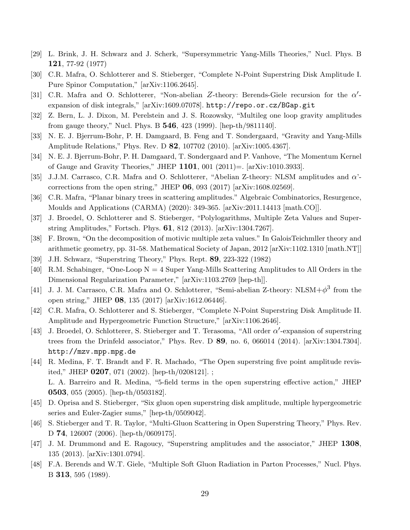- [29] L. Brink, J. H. Schwarz and J. Scherk, "Supersymmetric Yang-Mills Theories," Nucl. Phys. B 121, 77-92 (1977)
- [30] C.R. Mafra, O. Schlotterer and S. Stieberger, "Complete N-Point Superstring Disk Amplitude I. Pure Spinor Computation," [arXiv:1106.2645].
- [31] C.R. Mafra and O. Schlotterer, "Non-abelian Z-theory: Berends-Giele recursion for the  $\alpha'$ expansion of disk integrals," [arXiv:1609.07078]. http://repo.or.cz/BGap.git
- [32] Z. Bern, L. J. Dixon, M. Perelstein and J. S. Rozowsky, "Multileg one loop gravity amplitudes from gauge theory," Nucl. Phys. B 546, 423 (1999). [hep-th/9811140].
- [33] N. E. J. Bjerrum-Bohr, P. H. Damgaard, B. Feng and T. Sondergaard, "Gravity and Yang-Mills Amplitude Relations," Phys. Rev. D 82, 107702 (2010). [arXiv:1005.4367].
- [34] N. E. J. Bjerrum-Bohr, P. H. Damgaard, T. Sondergaard and P. Vanhove, "The Momentum Kernel of Gauge and Gravity Theories," JHEP 1101, 001 (2011)=. [arXiv:1010.3933].
- [35] J.J.M. Carrasco, C.R. Mafra and O. Schlotterer, "Abelian Z-theory: NLSM amplitudes and α' corrections from the open string," JHEP 06, 093 (2017) [arXiv:1608.02569].
- [36] C.R. Mafra, "Planar binary trees in scattering amplitudes." Algebraic Combinatorics, Resurgence, Moulds and Applications (CARMA) (2020): 349-365. [arXiv:2011.14413 [math.CO]].
- [37] J. Broedel, O. Schlotterer and S. Stieberger, "Polylogarithms, Multiple Zeta Values and Superstring Amplitudes," Fortsch. Phys. 61, 812 (2013). [arXiv:1304.7267].
- [38] F. Brown, "On the decomposition of motivic multiple zeta values." In GaloisTeichmller theory and arithmetic geometry, pp. 31-58. Mathematical Society of Japan, 2012 [arXiv:1102.1310 [math.NT]]
- [39] J.H. Schwarz, "Superstring Theory," Phys. Rept. 89, 223-322 (1982)
- [40] R.M. Schabinger, "One-Loop  $N = 4$  Super Yang-Mills Scattering Amplitudes to All Orders in the Dimensional Regularization Parameter," [arXiv:1103.2769 [hep-th]].
- [41] J. J. M. Carrasco, C.R. Mafra and O. Schlotterer, "Semi-abelian Z-theory:  $NLSM + \phi^3$  from the open string," JHEP 08, 135 (2017) [arXiv:1612.06446].
- [42] C.R. Mafra, O. Schlotterer and S. Stieberger, "Complete N-Point Superstring Disk Amplitude II. Amplitude and Hypergeometric Function Structure," [arXiv:1106.2646].
- [43] J. Broedel, O. Schlotterer, S. Stieberger and T. Terasoma, "All order  $\alpha'$ -expansion of superstring trees from the Drinfeld associator," Phys. Rev. D 89, no. 6, 066014 (2014). [arXiv:1304.7304]. http://mzv.mpp.mpg.de
- [44] R. Medina, F. T. Brandt and F. R. Machado, "The Open superstring five point amplitude revisited," JHEP 0207, 071 (2002). [hep-th/0208121]. ; L. A. Barreiro and R. Medina, "5-field terms in the open superstring effective action," JHEP 0503, 055 (2005). [hep-th/0503182].
- [45] D. Oprisa and S. Stieberger, "Six gluon open superstring disk amplitude, multiple hypergeometric series and Euler-Zagier sums," [hep-th/0509042].
- [46] S. Stieberger and T. R. Taylor, "Multi-Gluon Scattering in Open Superstring Theory," Phys. Rev. D 74, 126007 (2006). [hep-th/0609175].
- [47] J. M. Drummond and E. Ragoucy, "Superstring amplitudes and the associator," JHEP 1308, 135 (2013). [arXiv:1301.0794].
- [48] F.A. Berends and W.T. Giele, "Multiple Soft Gluon Radiation in Parton Processes," Nucl. Phys. B 313, 595 (1989).